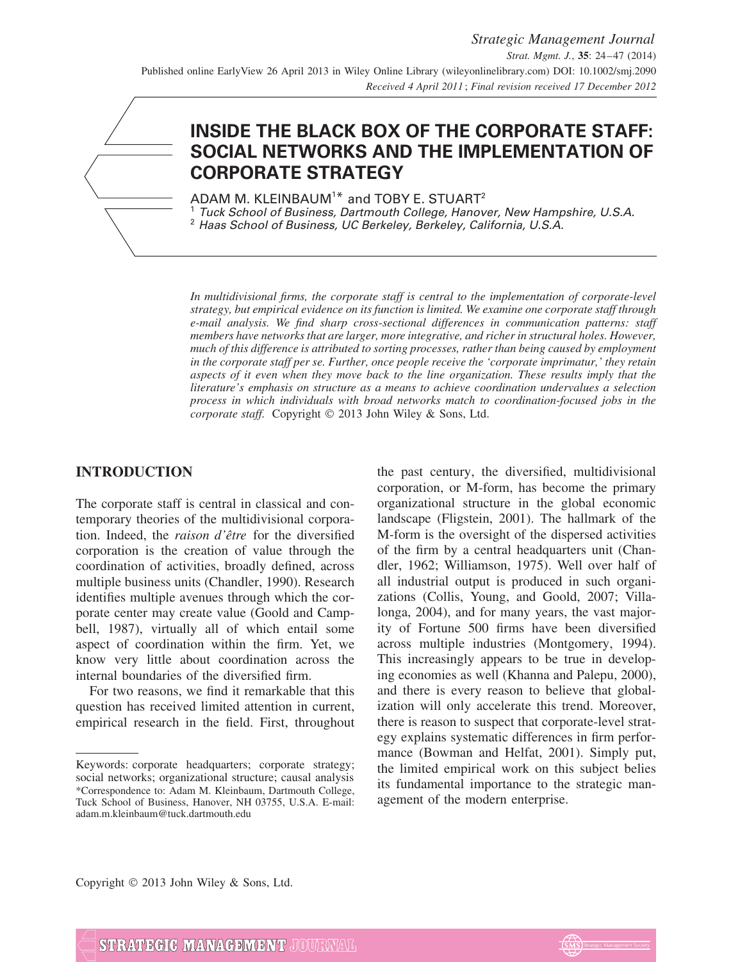# **INSIDE THE BLACK BOX OF THE CORPORATE STAFF: SOCIAL NETWORKS AND THE IMPLEMENTATION OF CORPORATE STRATEGY**

ADAM M. KLEINBAUM<sup>1\*</sup> and TOBY E. STUART<sup>2</sup> <sup>1</sup> Tuck School of Business, Dartmouth College, Hanover, New Hampshire, U.S.A. <sup>2</sup> Haas School of Business, UC Berkeley, Berkeley, California, U.S.A.

*In multidivisional firms, the corporate staff is central to the implementation of corporate-level strategy, but empirical evidence on its function is limited. We examine one corporate staff through e-mail analysis. We find sharp cross-sectional differences in communication patterns: staff members have networks that are larger, more integrative, and richer in structural holes. However, much of this difference is attributed to sorting processes, rather than being caused by employment in the corporate staff per se. Further, once people receive the 'corporate imprimatur,' they retain aspects of it even when they move back to the line organization. These results imply that the literature's emphasis on structure as a means to achieve coordination undervalues a selection process in which individuals with broad networks match to coordination-focused jobs in the corporate staff.* Copyright © 2013 John Wiley & Sons, Ltd.

# **INTRODUCTION**

The corporate staff is central in classical and contemporary theories of the multidivisional corporation. Indeed, the *raison d'être* for the diversified corporation is the creation of value through the coordination of activities, broadly defined, across multiple business units (Chandler, 1990). Research identifies multiple avenues through which the corporate center may create value (Goold and Campbell, 1987), virtually all of which entail some aspect of coordination within the firm. Yet, we know very little about coordination across the internal boundaries of the diversified firm.

For two reasons, we find it remarkable that this question has received limited attention in current, empirical research in the field. First, throughout the past century, the diversified, multidivisional corporation, or M-form, has become the primary organizational structure in the global economic landscape (Fligstein, 2001). The hallmark of the M-form is the oversight of the dispersed activities of the firm by a central headquarters unit (Chandler, 1962; Williamson, 1975). Well over half of all industrial output is produced in such organizations (Collis, Young, and Goold, 2007; Villalonga, 2004), and for many years, the vast majority of Fortune 500 firms have been diversified across multiple industries (Montgomery, 1994). This increasingly appears to be true in developing economies as well (Khanna and Palepu, 2000), and there is every reason to believe that globalization will only accelerate this trend. Moreover, there is reason to suspect that corporate-level strategy explains systematic differences in firm performance (Bowman and Helfat, 2001). Simply put, the limited empirical work on this subject belies its fundamental importance to the strategic management of the modern enterprise.

Copyright  $©$  2013 John Wiley & Sons, Ltd.



Keywords: corporate headquarters; corporate strategy; social networks; organizational structure; causal analysis \*Correspondence to: Adam M. Kleinbaum, Dartmouth College, Tuck School of Business, Hanover, NH 03755, U.S.A. E-mail: adam.m.kleinbaum@tuck.dartmouth.edu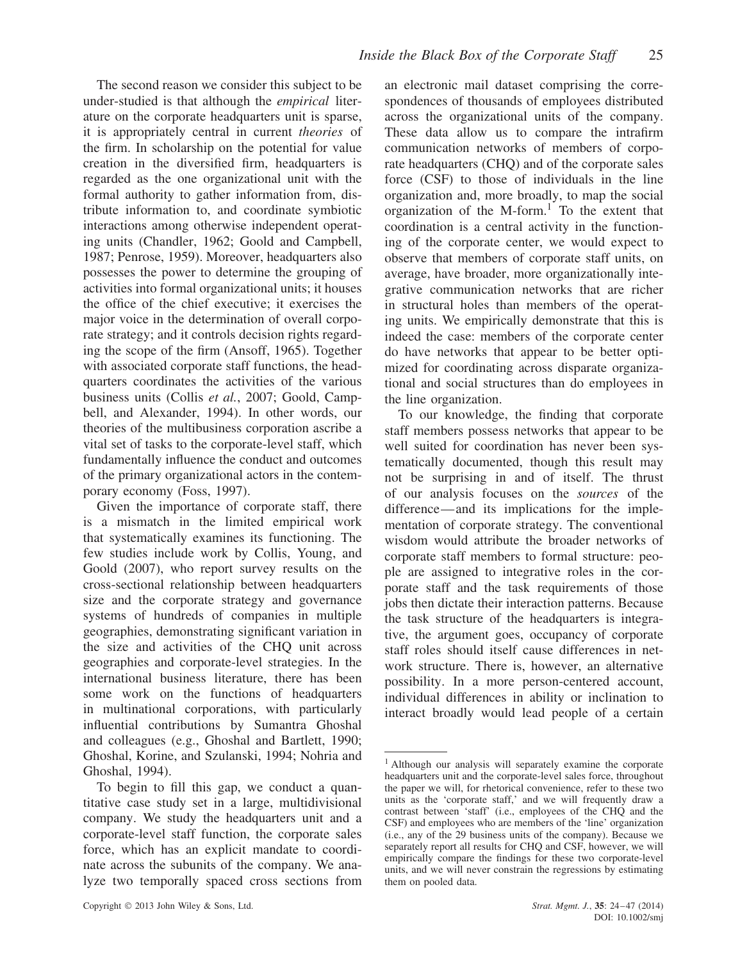The second reason we consider this subject to be under-studied is that although the *empirical* literature on the corporate headquarters unit is sparse, it is appropriately central in current *theories* of the firm. In scholarship on the potential for value creation in the diversified firm, headquarters is regarded as the one organizational unit with the formal authority to gather information from, distribute information to, and coordinate symbiotic interactions among otherwise independent operating units (Chandler, 1962; Goold and Campbell, 1987; Penrose, 1959). Moreover, headquarters also possesses the power to determine the grouping of activities into formal organizational units; it houses the office of the chief executive; it exercises the major voice in the determination of overall corporate strategy; and it controls decision rights regarding the scope of the firm (Ansoff, 1965). Together with associated corporate staff functions, the headquarters coordinates the activities of the various business units (Collis *et al.*, 2007; Goold, Campbell, and Alexander, 1994). In other words, our theories of the multibusiness corporation ascribe a vital set of tasks to the corporate-level staff, which fundamentally influence the conduct and outcomes of the primary organizational actors in the contemporary economy (Foss, 1997).

Given the importance of corporate staff, there is a mismatch in the limited empirical work that systematically examines its functioning. The few studies include work by Collis, Young, and Goold (2007), who report survey results on the cross-sectional relationship between headquarters size and the corporate strategy and governance systems of hundreds of companies in multiple geographies, demonstrating significant variation in the size and activities of the CHQ unit across geographies and corporate-level strategies. In the international business literature, there has been some work on the functions of headquarters in multinational corporations, with particularly influential contributions by Sumantra Ghoshal and colleagues (e.g., Ghoshal and Bartlett, 1990; Ghoshal, Korine, and Szulanski, 1994; Nohria and Ghoshal, 1994).

To begin to fill this gap, we conduct a quantitative case study set in a large, multidivisional company. We study the headquarters unit and a corporate-level staff function, the corporate sales force, which has an explicit mandate to coordinate across the subunits of the company. We analyze two temporally spaced cross sections from an electronic mail dataset comprising the correspondences of thousands of employees distributed across the organizational units of the company. These data allow us to compare the intrafirm communication networks of members of corporate headquarters (CHQ) and of the corporate sales force (CSF) to those of individuals in the line organization and, more broadly, to map the social organization of the  $M$ -form.<sup>1</sup> To the extent that coordination is a central activity in the functioning of the corporate center, we would expect to observe that members of corporate staff units, on average, have broader, more organizationally integrative communication networks that are richer in structural holes than members of the operating units. We empirically demonstrate that this is indeed the case: members of the corporate center do have networks that appear to be better optimized for coordinating across disparate organizational and social structures than do employees in the line organization.

To our knowledge, the finding that corporate staff members possess networks that appear to be well suited for coordination has never been systematically documented, though this result may not be surprising in and of itself. The thrust of our analysis focuses on the *sources* of the difference—and its implications for the implementation of corporate strategy. The conventional wisdom would attribute the broader networks of corporate staff members to formal structure: people are assigned to integrative roles in the corporate staff and the task requirements of those jobs then dictate their interaction patterns. Because the task structure of the headquarters is integrative, the argument goes, occupancy of corporate staff roles should itself cause differences in network structure. There is, however, an alternative possibility. In a more person-centered account, individual differences in ability or inclination to interact broadly would lead people of a certain

<sup>&</sup>lt;sup>1</sup> Although our analysis will separately examine the corporate headquarters unit and the corporate-level sales force, throughout the paper we will, for rhetorical convenience, refer to these two units as the 'corporate staff,' and we will frequently draw a contrast between 'staff' (i.e., employees of the CHQ and the CSF) and employees who are members of the 'line' organization (i.e., any of the 29 business units of the company). Because we separately report all results for CHQ and CSF, however, we will empirically compare the findings for these two corporate-level units, and we will never constrain the regressions by estimating them on pooled data.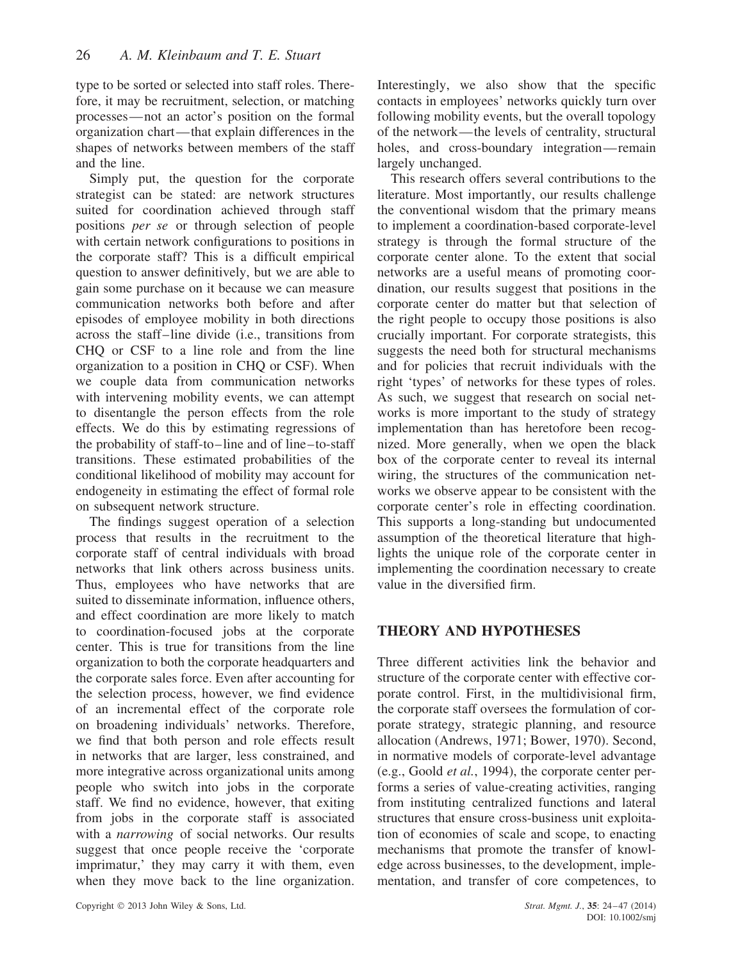type to be sorted or selected into staff roles. Therefore, it may be recruitment, selection, or matching processes—not an actor's position on the formal organization chart—that explain differences in the shapes of networks between members of the staff and the line.

Simply put, the question for the corporate strategist can be stated: are network structures suited for coordination achieved through staff positions *per se* or through selection of people with certain network configurations to positions in the corporate staff? This is a difficult empirical question to answer definitively, but we are able to gain some purchase on it because we can measure communication networks both before and after episodes of employee mobility in both directions across the staff–line divide (i.e., transitions from CHQ or CSF to a line role and from the line organization to a position in CHQ or CSF). When we couple data from communication networks with intervening mobility events, we can attempt to disentangle the person effects from the role effects. We do this by estimating regressions of the probability of staff-to–line and of line–to-staff transitions. These estimated probabilities of the conditional likelihood of mobility may account for endogeneity in estimating the effect of formal role on subsequent network structure.

The findings suggest operation of a selection process that results in the recruitment to the corporate staff of central individuals with broad networks that link others across business units. Thus, employees who have networks that are suited to disseminate information, influence others, and effect coordination are more likely to match to coordination-focused jobs at the corporate center. This is true for transitions from the line organization to both the corporate headquarters and the corporate sales force. Even after accounting for the selection process, however, we find evidence of an incremental effect of the corporate role on broadening individuals' networks. Therefore, we find that both person and role effects result in networks that are larger, less constrained, and more integrative across organizational units among people who switch into jobs in the corporate staff. We find no evidence, however, that exiting from jobs in the corporate staff is associated with a *narrowing* of social networks. Our results suggest that once people receive the 'corporate imprimatur,' they may carry it with them, even when they move back to the line organization. Interestingly, we also show that the specific contacts in employees' networks quickly turn over following mobility events, but the overall topology of the network—the levels of centrality, structural holes, and cross-boundary integration—remain largely unchanged.

This research offers several contributions to the literature. Most importantly, our results challenge the conventional wisdom that the primary means to implement a coordination-based corporate-level strategy is through the formal structure of the corporate center alone. To the extent that social networks are a useful means of promoting coordination, our results suggest that positions in the corporate center do matter but that selection of the right people to occupy those positions is also crucially important. For corporate strategists, this suggests the need both for structural mechanisms and for policies that recruit individuals with the right 'types' of networks for these types of roles. As such, we suggest that research on social networks is more important to the study of strategy implementation than has heretofore been recognized. More generally, when we open the black box of the corporate center to reveal its internal wiring, the structures of the communication networks we observe appear to be consistent with the corporate center's role in effecting coordination. This supports a long-standing but undocumented assumption of the theoretical literature that highlights the unique role of the corporate center in implementing the coordination necessary to create value in the diversified firm.

# **THEORY AND HYPOTHESES**

Three different activities link the behavior and structure of the corporate center with effective corporate control. First, in the multidivisional firm, the corporate staff oversees the formulation of corporate strategy, strategic planning, and resource allocation (Andrews, 1971; Bower, 1970). Second, in normative models of corporate-level advantage (e.g., Goold *et al.*, 1994), the corporate center performs a series of value-creating activities, ranging from instituting centralized functions and lateral structures that ensure cross-business unit exploitation of economies of scale and scope, to enacting mechanisms that promote the transfer of knowledge across businesses, to the development, implementation, and transfer of core competences, to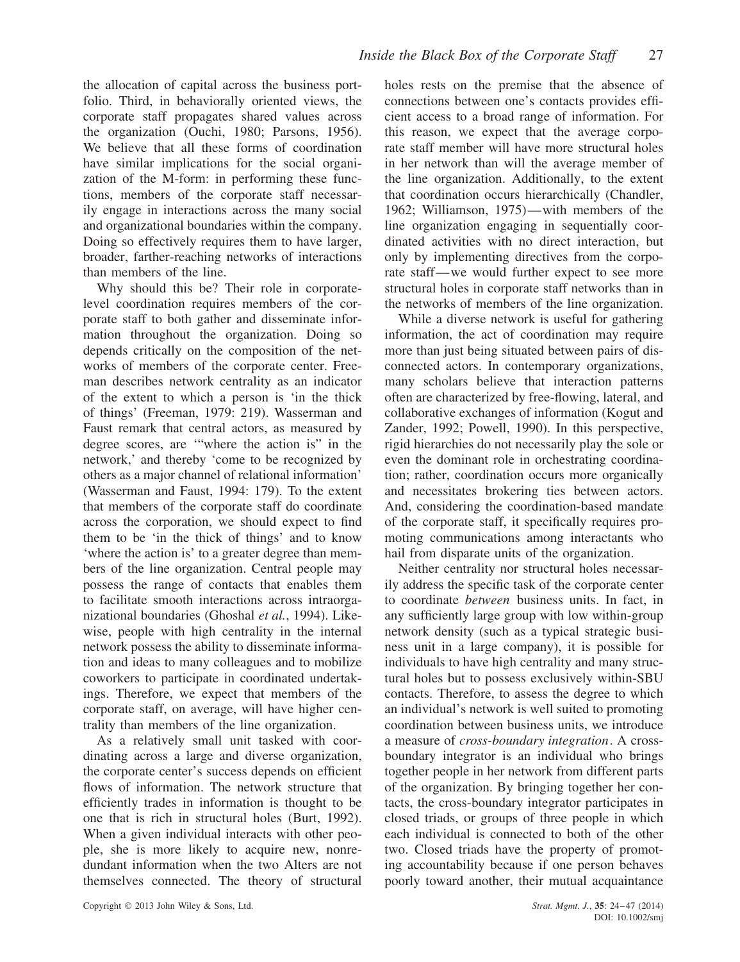the allocation of capital across the business portfolio. Third, in behaviorally oriented views, the corporate staff propagates shared values across the organization (Ouchi, 1980; Parsons, 1956). We believe that all these forms of coordination have similar implications for the social organization of the M-form: in performing these functions, members of the corporate staff necessarily engage in interactions across the many social and organizational boundaries within the company. Doing so effectively requires them to have larger, broader, farther-reaching networks of interactions than members of the line.

Why should this be? Their role in corporatelevel coordination requires members of the corporate staff to both gather and disseminate information throughout the organization. Doing so depends critically on the composition of the networks of members of the corporate center. Freeman describes network centrality as an indicator of the extent to which a person is 'in the thick of things' (Freeman, 1979: 219). Wasserman and Faust remark that central actors, as measured by degree scores, are '"where the action is" in the network,' and thereby 'come to be recognized by others as a major channel of relational information' (Wasserman and Faust, 1994: 179). To the extent that members of the corporate staff do coordinate across the corporation, we should expect to find them to be 'in the thick of things' and to know 'where the action is' to a greater degree than members of the line organization. Central people may possess the range of contacts that enables them to facilitate smooth interactions across intraorganizational boundaries (Ghoshal *et al.*, 1994). Likewise, people with high centrality in the internal network possess the ability to disseminate information and ideas to many colleagues and to mobilize coworkers to participate in coordinated undertakings. Therefore, we expect that members of the corporate staff, on average, will have higher centrality than members of the line organization.

As a relatively small unit tasked with coordinating across a large and diverse organization, the corporate center's success depends on efficient flows of information. The network structure that efficiently trades in information is thought to be one that is rich in structural holes (Burt, 1992). When a given individual interacts with other people, she is more likely to acquire new, nonredundant information when the two Alters are not themselves connected. The theory of structural

holes rests on the premise that the absence of connections between one's contacts provides efficient access to a broad range of information. For this reason, we expect that the average corporate staff member will have more structural holes in her network than will the average member of the line organization. Additionally, to the extent that coordination occurs hierarchically (Chandler, 1962; Williamson, 1975)—with members of the line organization engaging in sequentially coordinated activities with no direct interaction, but only by implementing directives from the corporate staff—we would further expect to see more structural holes in corporate staff networks than in the networks of members of the line organization.

While a diverse network is useful for gathering information, the act of coordination may require more than just being situated between pairs of disconnected actors. In contemporary organizations, many scholars believe that interaction patterns often are characterized by free-flowing, lateral, and collaborative exchanges of information (Kogut and Zander, 1992; Powell, 1990). In this perspective, rigid hierarchies do not necessarily play the sole or even the dominant role in orchestrating coordination; rather, coordination occurs more organically and necessitates brokering ties between actors. And, considering the coordination-based mandate of the corporate staff, it specifically requires promoting communications among interactants who hail from disparate units of the organization.

Neither centrality nor structural holes necessarily address the specific task of the corporate center to coordinate *between* business units. In fact, in any sufficiently large group with low within-group network density (such as a typical strategic business unit in a large company), it is possible for individuals to have high centrality and many structural holes but to possess exclusively within-SBU contacts. Therefore, to assess the degree to which an individual's network is well suited to promoting coordination between business units, we introduce a measure of *cross-boundary integration*. A crossboundary integrator is an individual who brings together people in her network from different parts of the organization. By bringing together her contacts, the cross-boundary integrator participates in closed triads, or groups of three people in which each individual is connected to both of the other two. Closed triads have the property of promoting accountability because if one person behaves poorly toward another, their mutual acquaintance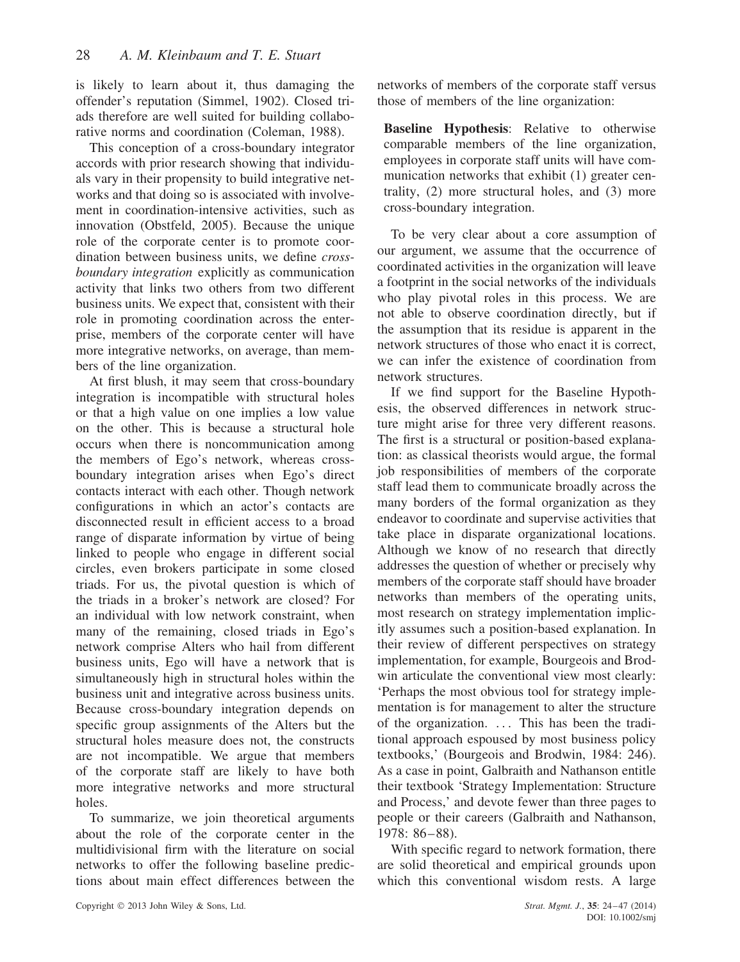is likely to learn about it, thus damaging the offender's reputation (Simmel, 1902). Closed triads therefore are well suited for building collaborative norms and coordination (Coleman, 1988).

This conception of a cross-boundary integrator accords with prior research showing that individuals vary in their propensity to build integrative networks and that doing so is associated with involvement in coordination-intensive activities, such as innovation (Obstfeld, 2005). Because the unique role of the corporate center is to promote coordination between business units, we define *crossboundary integration* explicitly as communication activity that links two others from two different business units. We expect that, consistent with their role in promoting coordination across the enterprise, members of the corporate center will have more integrative networks, on average, than members of the line organization.

At first blush, it may seem that cross-boundary integration is incompatible with structural holes or that a high value on one implies a low value on the other. This is because a structural hole occurs when there is noncommunication among the members of Ego's network, whereas crossboundary integration arises when Ego's direct contacts interact with each other. Though network configurations in which an actor's contacts are disconnected result in efficient access to a broad range of disparate information by virtue of being linked to people who engage in different social circles, even brokers participate in some closed triads. For us, the pivotal question is which of the triads in a broker's network are closed? For an individual with low network constraint, when many of the remaining, closed triads in Ego's network comprise Alters who hail from different business units, Ego will have a network that is simultaneously high in structural holes within the business unit and integrative across business units. Because cross-boundary integration depends on specific group assignments of the Alters but the structural holes measure does not, the constructs are not incompatible. We argue that members of the corporate staff are likely to have both more integrative networks and more structural holes.

To summarize, we join theoretical arguments about the role of the corporate center in the multidivisional firm with the literature on social networks to offer the following baseline predictions about main effect differences between the networks of members of the corporate staff versus those of members of the line organization:

**Baseline Hypothesis**: Relative to otherwise comparable members of the line organization, employees in corporate staff units will have communication networks that exhibit (1) greater centrality, (2) more structural holes, and (3) more cross-boundary integration.

To be very clear about a core assumption of our argument, we assume that the occurrence of coordinated activities in the organization will leave a footprint in the social networks of the individuals who play pivotal roles in this process. We are not able to observe coordination directly, but if the assumption that its residue is apparent in the network structures of those who enact it is correct, we can infer the existence of coordination from network structures.

If we find support for the Baseline Hypothesis, the observed differences in network structure might arise for three very different reasons. The first is a structural or position-based explanation: as classical theorists would argue, the formal job responsibilities of members of the corporate staff lead them to communicate broadly across the many borders of the formal organization as they endeavor to coordinate and supervise activities that take place in disparate organizational locations. Although we know of no research that directly addresses the question of whether or precisely why members of the corporate staff should have broader networks than members of the operating units, most research on strategy implementation implicitly assumes such a position-based explanation. In their review of different perspectives on strategy implementation, for example, Bourgeois and Brodwin articulate the conventional view most clearly: 'Perhaps the most obvious tool for strategy implementation is for management to alter the structure of the organization. *...* This has been the traditional approach espoused by most business policy textbooks,' (Bourgeois and Brodwin, 1984: 246). As a case in point, Galbraith and Nathanson entitle their textbook 'Strategy Implementation: Structure and Process,' and devote fewer than three pages to people or their careers (Galbraith and Nathanson, 1978: 86–88).

With specific regard to network formation, there are solid theoretical and empirical grounds upon which this conventional wisdom rests. A large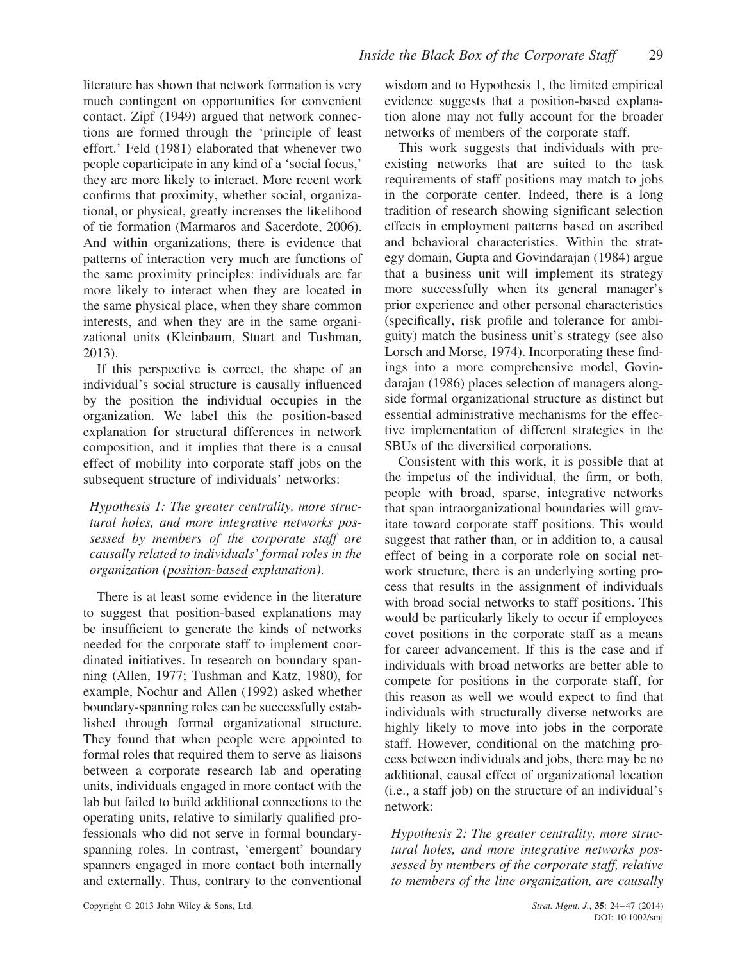literature has shown that network formation is very much contingent on opportunities for convenient contact. Zipf (1949) argued that network connections are formed through the 'principle of least effort.' Feld (1981) elaborated that whenever two people coparticipate in any kind of a 'social focus,' they are more likely to interact. More recent work confirms that proximity, whether social, organizational, or physical, greatly increases the likelihood of tie formation (Marmaros and Sacerdote, 2006). And within organizations, there is evidence that patterns of interaction very much are functions of the same proximity principles: individuals are far more likely to interact when they are located in the same physical place, when they share common interests, and when they are in the same organizational units (Kleinbaum, Stuart and Tushman, 2013).

If this perspective is correct, the shape of an individual's social structure is causally influenced by the position the individual occupies in the organization. We label this the position-based explanation for structural differences in network composition, and it implies that there is a causal effect of mobility into corporate staff jobs on the subsequent structure of individuals' networks:

*Hypothesis 1: The greater centrality, more structural holes, and more integrative networks possessed by members of the corporate staff are causally related to individuals' formal roles in the organization (position-based explanation)*.

There is at least some evidence in the literature to suggest that position-based explanations may be insufficient to generate the kinds of networks needed for the corporate staff to implement coordinated initiatives. In research on boundary spanning (Allen, 1977; Tushman and Katz, 1980), for example, Nochur and Allen (1992) asked whether boundary-spanning roles can be successfully established through formal organizational structure. They found that when people were appointed to formal roles that required them to serve as liaisons between a corporate research lab and operating units, individuals engaged in more contact with the lab but failed to build additional connections to the operating units, relative to similarly qualified professionals who did not serve in formal boundaryspanning roles. In contrast, 'emergent' boundary spanners engaged in more contact both internally and externally. Thus, contrary to the conventional

wisdom and to Hypothesis 1, the limited empirical evidence suggests that a position-based explanation alone may not fully account for the broader networks of members of the corporate staff.

This work suggests that individuals with preexisting networks that are suited to the task requirements of staff positions may match to jobs in the corporate center. Indeed, there is a long tradition of research showing significant selection effects in employment patterns based on ascribed and behavioral characteristics. Within the strategy domain, Gupta and Govindarajan (1984) argue that a business unit will implement its strategy more successfully when its general manager's prior experience and other personal characteristics (specifically, risk profile and tolerance for ambiguity) match the business unit's strategy (see also Lorsch and Morse, 1974). Incorporating these findings into a more comprehensive model, Govindarajan (1986) places selection of managers alongside formal organizational structure as distinct but essential administrative mechanisms for the effective implementation of different strategies in the SBUs of the diversified corporations.

Consistent with this work, it is possible that at the impetus of the individual, the firm, or both, people with broad, sparse, integrative networks that span intraorganizational boundaries will gravitate toward corporate staff positions. This would suggest that rather than, or in addition to, a causal effect of being in a corporate role on social network structure, there is an underlying sorting process that results in the assignment of individuals with broad social networks to staff positions. This would be particularly likely to occur if employees covet positions in the corporate staff as a means for career advancement. If this is the case and if individuals with broad networks are better able to compete for positions in the corporate staff, for this reason as well we would expect to find that individuals with structurally diverse networks are highly likely to move into jobs in the corporate staff. However, conditional on the matching process between individuals and jobs, there may be no additional, causal effect of organizational location (i.e., a staff job) on the structure of an individual's network:

*Hypothesis 2: The greater centrality, more structural holes, and more integrative networks possessed by members of the corporate staff, relative to members of the line organization, are causally*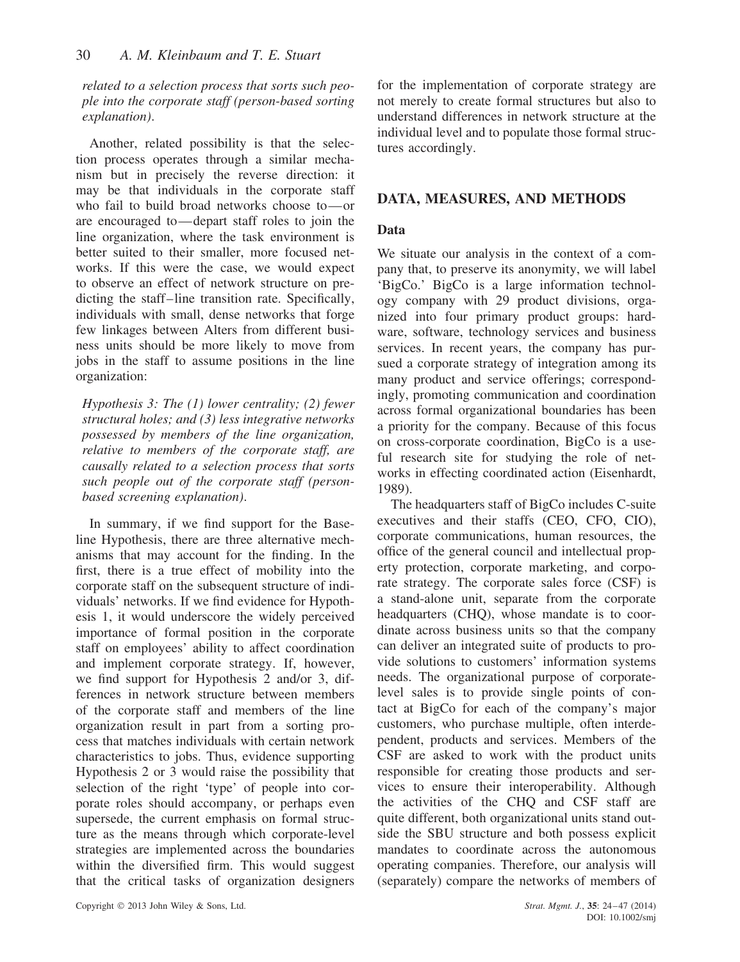*related to a selection process that sorts such people into the corporate staff (person-based sorting explanation)*.

Another, related possibility is that the selection process operates through a similar mechanism but in precisely the reverse direction: it may be that individuals in the corporate staff who fail to build broad networks choose to—or are encouraged to—depart staff roles to join the line organization, where the task environment is better suited to their smaller, more focused networks. If this were the case, we would expect to observe an effect of network structure on predicting the staff–line transition rate. Specifically, individuals with small, dense networks that forge few linkages between Alters from different business units should be more likely to move from jobs in the staff to assume positions in the line organization:

*Hypothesis 3: The (1) lower centrality; (2) fewer structural holes; and (3) less integrative networks possessed by members of the line organization, relative to members of the corporate staff, are causally related to a selection process that sorts such people out of the corporate staff (personbased screening explanation)*.

In summary, if we find support for the Baseline Hypothesis, there are three alternative mechanisms that may account for the finding. In the first, there is a true effect of mobility into the corporate staff on the subsequent structure of individuals' networks. If we find evidence for Hypothesis 1, it would underscore the widely perceived importance of formal position in the corporate staff on employees' ability to affect coordination and implement corporate strategy. If, however, we find support for Hypothesis 2 and/or 3, differences in network structure between members of the corporate staff and members of the line organization result in part from a sorting process that matches individuals with certain network characteristics to jobs. Thus, evidence supporting Hypothesis 2 or 3 would raise the possibility that selection of the right 'type' of people into corporate roles should accompany, or perhaps even supersede, the current emphasis on formal structure as the means through which corporate-level strategies are implemented across the boundaries within the diversified firm. This would suggest that the critical tasks of organization designers for the implementation of corporate strategy are not merely to create formal structures but also to understand differences in network structure at the individual level and to populate those formal structures accordingly.

# **DATA, MEASURES, AND METHODS**

#### **Data**

We situate our analysis in the context of a company that, to preserve its anonymity, we will label 'BigCo.' BigCo is a large information technology company with 29 product divisions, organized into four primary product groups: hardware, software, technology services and business services. In recent years, the company has pursued a corporate strategy of integration among its many product and service offerings; correspondingly, promoting communication and coordination across formal organizational boundaries has been a priority for the company. Because of this focus on cross-corporate coordination, BigCo is a useful research site for studying the role of networks in effecting coordinated action (Eisenhardt, 1989).

The headquarters staff of BigCo includes C-suite executives and their staffs (CEO, CFO, CIO), corporate communications, human resources, the office of the general council and intellectual property protection, corporate marketing, and corporate strategy. The corporate sales force (CSF) is a stand-alone unit, separate from the corporate headquarters (CHQ), whose mandate is to coordinate across business units so that the company can deliver an integrated suite of products to provide solutions to customers' information systems needs. The organizational purpose of corporatelevel sales is to provide single points of contact at BigCo for each of the company's major customers, who purchase multiple, often interdependent, products and services. Members of the CSF are asked to work with the product units responsible for creating those products and services to ensure their interoperability. Although the activities of the CHQ and CSF staff are quite different, both organizational units stand outside the SBU structure and both possess explicit mandates to coordinate across the autonomous operating companies. Therefore, our analysis will (separately) compare the networks of members of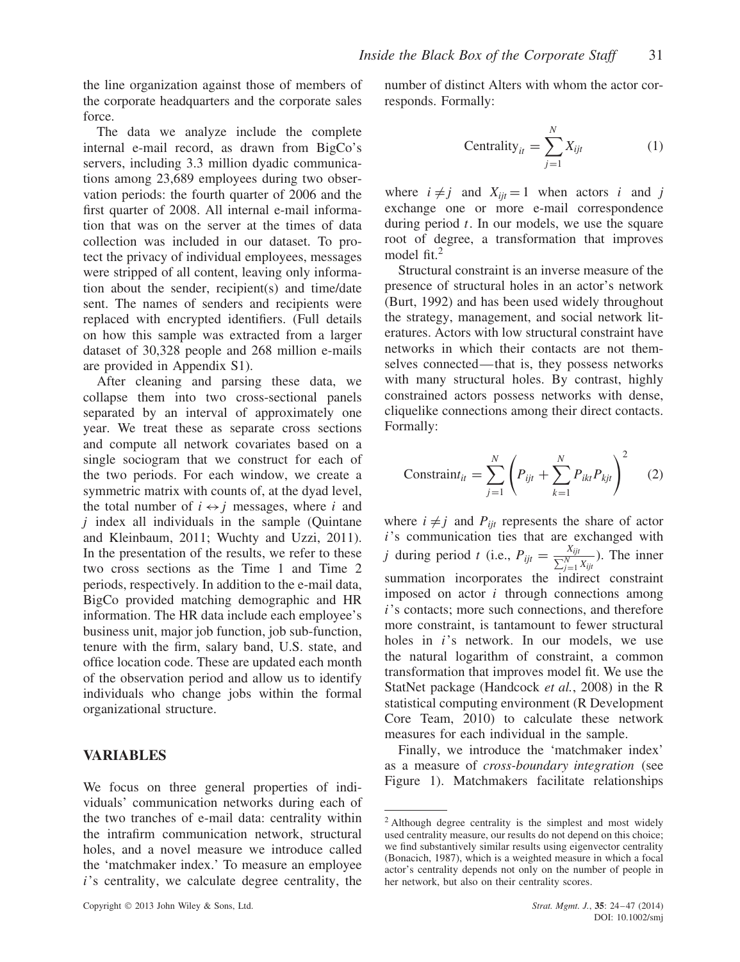the line organization against those of members of the corporate headquarters and the corporate sales force.

The data we analyze include the complete internal e-mail record, as drawn from BigCo's servers, including 3.3 million dyadic communications among 23,689 employees during two observation periods: the fourth quarter of 2006 and the first quarter of 2008. All internal e-mail information that was on the server at the times of data collection was included in our dataset. To protect the privacy of individual employees, messages were stripped of all content, leaving only information about the sender, recipient(s) and time/date sent. The names of senders and recipients were replaced with encrypted identifiers. (Full details on how this sample was extracted from a larger dataset of 30,328 people and 268 million e-mails are provided in Appendix S1).

After cleaning and parsing these data, we collapse them into two cross-sectional panels separated by an interval of approximately one year. We treat these as separate cross sections and compute all network covariates based on a single sociogram that we construct for each of the two periods. For each window, we create a symmetric matrix with counts of, at the dyad level, the total number of  $i \leftrightarrow j$  messages, where *i* and *j* index all individuals in the sample (Quintane and Kleinbaum, 2011; Wuchty and Uzzi, 2011). In the presentation of the results, we refer to these two cross sections as the Time 1 and Time 2 periods, respectively. In addition to the e-mail data, BigCo provided matching demographic and HR information. The HR data include each employee's business unit, major job function, job sub-function, tenure with the firm, salary band, U.S. state, and office location code. These are updated each month of the observation period and allow us to identify individuals who change jobs within the formal organizational structure.

#### **VARIABLES**

We focus on three general properties of individuals' communication networks during each of the two tranches of e-mail data: centrality within the intrafirm communication network, structural holes, and a novel measure we introduce called the 'matchmaker index.' To measure an employee *i*'s centrality, we calculate degree centrality, the

number of distinct Alters with whom the actor corresponds. Formally:

$$
Centrality_{it} = \sum_{j=1}^{N} X_{ijt}
$$
 (1)

where  $i \neq j$  and  $X_{ijt} = 1$  when actors *i* and *j* exchange one or more e-mail correspondence during period *t*. In our models, we use the square root of degree, a transformation that improves model fit.<sup>2</sup>

Structural constraint is an inverse measure of the presence of structural holes in an actor's network (Burt, 1992) and has been used widely throughout the strategy, management, and social network literatures. Actors with low structural constraint have networks in which their contacts are not themselves connected—that is, they possess networks with many structural holes. By contrast, highly constrained actors possess networks with dense, cliquelike connections among their direct contacts. Formally:

$$
Constraint_{it} = \sum_{j=1}^{N} \left( P_{ijt} + \sum_{k=1}^{N} P_{ikt} P_{kjt} \right)^2 \quad (2)
$$

where  $i \neq j$  and  $P_{ijt}$  represents the share of actor *i*'s communication ties that are exchanged with *j* during period *t* (i.e.,  $P_{ijt} = \frac{X_{ijt}}{\sum_{j=1}^{N} X_{ijt}}$ ). The inner summation incorporates the indirect constraint imposed on actor *i* through connections among *i*'s contacts; more such connections, and therefore more constraint, is tantamount to fewer structural holes in *i*'s network. In our models, we use the natural logarithm of constraint, a common transformation that improves model fit. We use the StatNet package (Handcock *et al.*, 2008) in the R statistical computing environment (R Development Core Team, 2010) to calculate these network measures for each individual in the sample.

Finally, we introduce the 'matchmaker index' as a measure of *cross-boundary integration* (see Figure 1). Matchmakers facilitate relationships

<sup>2</sup> Although degree centrality is the simplest and most widely used centrality measure, our results do not depend on this choice; we find substantively similar results using eigenvector centrality (Bonacich, 1987), which is a weighted measure in which a focal actor's centrality depends not only on the number of people in her network, but also on their centrality scores.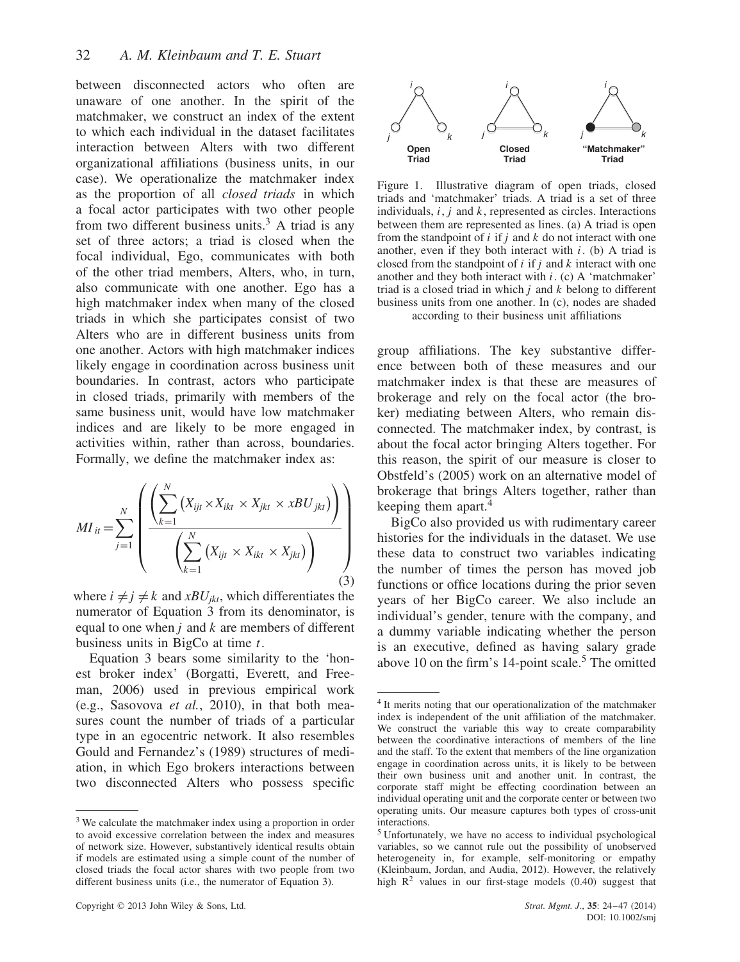between disconnected actors who often are unaware of one another. In the spirit of the matchmaker, we construct an index of the extent to which each individual in the dataset facilitates interaction between Alters with two different organizational affiliations (business units, in our case). We operationalize the matchmaker index as the proportion of all *closed triads* in which a focal actor participates with two other people from two different business units.<sup>3</sup> A triad is any set of three actors; a triad is closed when the focal individual, Ego, communicates with both of the other triad members, Alters, who, in turn, also communicate with one another. Ego has a high matchmaker index when many of the closed triads in which she participates consist of two Alters who are in different business units from one another. Actors with high matchmaker indices likely engage in coordination across business unit boundaries. In contrast, actors who participate in closed triads, primarily with members of the same business unit, would have low matchmaker indices and are likely to be more engaged in activities within, rather than across, boundaries. Formally, we define the matchmaker index as:

$$
MI_{it} = \sum_{j=1}^{N} \left( \frac{\left( \sum_{k=1}^{N} \left( X_{ijt} \times X_{ikt} \times X_{jkt} \times xBU_{jkt} \right) \right)}{\left( \sum_{k=1}^{N} \left( X_{ijt} \times X_{ikt} \times X_{jkt} \right) \right)} \right)
$$
(3)

where  $i \neq j \neq k$  and *xBU<sub>jkt</sub>*, which differentiates the numerator of Equation 3 from its denominator, is equal to one when *j* and *k* are members of different business units in BigCo at time *t*.

Equation 3 bears some similarity to the 'honest broker index' (Borgatti, Everett, and Freeman, 2006) used in previous empirical work (e.g., Sasovova *et al.*, 2010), in that both measures count the number of triads of a particular type in an egocentric network. It also resembles Gould and Fernandez's (1989) structures of mediation, in which Ego brokers interactions between two disconnected Alters who possess specific



Figure 1. Illustrative diagram of open triads, closed triads and 'matchmaker' triads. A triad is a set of three individuals, *i*, *j* and *k*, represented as circles. Interactions between them are represented as lines. (a) A triad is open from the standpoint of *i* if *j* and *k* do not interact with one another, even if they both interact with *i*. (b) A triad is closed from the standpoint of *i* if *j* and *k* interact with one another and they both interact with *i*. (c) A 'matchmaker' triad is a closed triad in which *j* and *k* belong to different business units from one another. In (c), nodes are shaded according to their business unit affiliations

group affiliations. The key substantive difference between both of these measures and our matchmaker index is that these are measures of brokerage and rely on the focal actor (the broker) mediating between Alters, who remain disconnected. The matchmaker index, by contrast, is about the focal actor bringing Alters together. For this reason, the spirit of our measure is closer to Obstfeld's (2005) work on an alternative model of brokerage that brings Alters together, rather than keeping them apart.<sup>4</sup>

BigCo also provided us with rudimentary career histories for the individuals in the dataset. We use these data to construct two variables indicating the number of times the person has moved job functions or office locations during the prior seven years of her BigCo career. We also include an individual's gender, tenure with the company, and a dummy variable indicating whether the person is an executive, defined as having salary grade above 10 on the firm's  $14$ -point scale.<sup>5</sup> The omitted

<sup>&</sup>lt;sup>3</sup> We calculate the matchmaker index using a proportion in order to avoid excessive correlation between the index and measures of network size. However, substantively identical results obtain if models are estimated using a simple count of the number of closed triads the focal actor shares with two people from two different business units (i.e., the numerator of Equation 3).

<sup>&</sup>lt;sup>4</sup> It merits noting that our operationalization of the matchmaker index is independent of the unit affiliation of the matchmaker. We construct the variable this way to create comparability between the coordinative interactions of members of the line and the staff. To the extent that members of the line organization engage in coordination across units, it is likely to be between their own business unit and another unit. In contrast, the corporate staff might be effecting coordination between an individual operating unit and the corporate center or between two operating units. Our measure captures both types of cross-unit interactions.

<sup>5</sup> Unfortunately, we have no access to individual psychological variables, so we cannot rule out the possibility of unobserved heterogeneity in, for example, self-monitoring or empathy (Kleinbaum, Jordan, and Audia, 2012). However, the relatively high  $\mathbb{R}^2$  values in our first-stage models (0.40) suggest that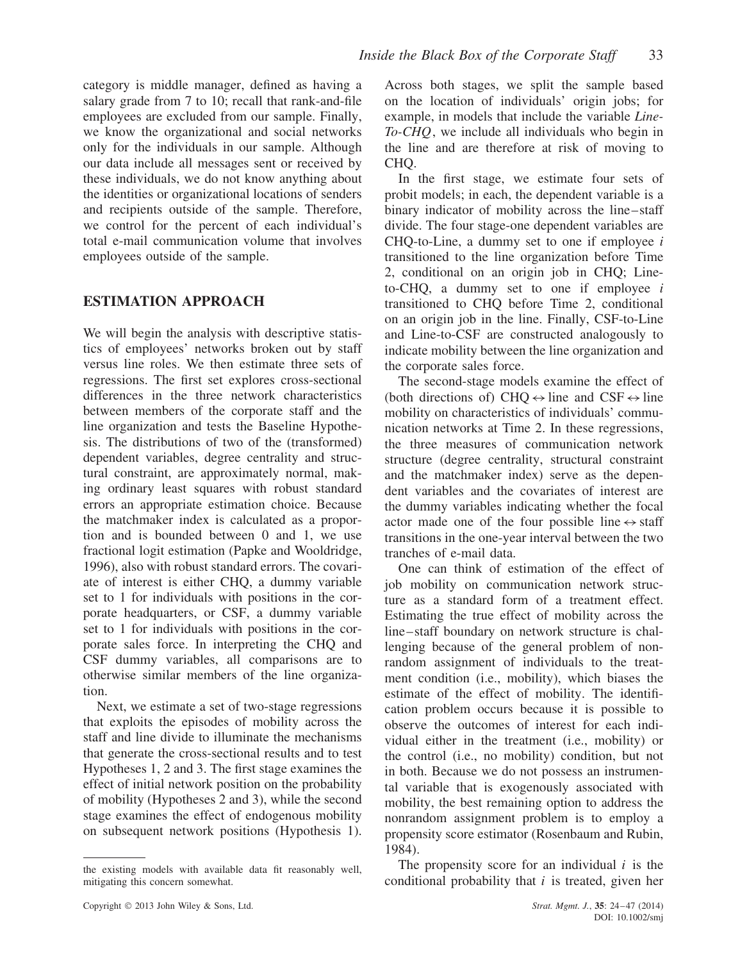category is middle manager, defined as having a salary grade from 7 to 10; recall that rank-and-file employees are excluded from our sample. Finally, we know the organizational and social networks only for the individuals in our sample. Although our data include all messages sent or received by these individuals, we do not know anything about the identities or organizational locations of senders and recipients outside of the sample. Therefore, we control for the percent of each individual's total e-mail communication volume that involves employees outside of the sample.

# **ESTIMATION APPROACH**

We will begin the analysis with descriptive statistics of employees' networks broken out by staff versus line roles. We then estimate three sets of regressions. The first set explores cross-sectional differences in the three network characteristics between members of the corporate staff and the line organization and tests the Baseline Hypothesis. The distributions of two of the (transformed) dependent variables, degree centrality and structural constraint, are approximately normal, making ordinary least squares with robust standard errors an appropriate estimation choice. Because the matchmaker index is calculated as a proportion and is bounded between 0 and 1, we use fractional logit estimation (Papke and Wooldridge, 1996), also with robust standard errors. The covariate of interest is either CHQ, a dummy variable set to 1 for individuals with positions in the corporate headquarters, or CSF, a dummy variable set to 1 for individuals with positions in the corporate sales force. In interpreting the CHQ and CSF dummy variables, all comparisons are to otherwise similar members of the line organization.

Next, we estimate a set of two-stage regressions that exploits the episodes of mobility across the staff and line divide to illuminate the mechanisms that generate the cross-sectional results and to test Hypotheses 1, 2 and 3. The first stage examines the effect of initial network position on the probability of mobility (Hypotheses 2 and 3), while the second stage examines the effect of endogenous mobility on subsequent network positions (Hypothesis 1).

Across both stages, we split the sample based on the location of individuals' origin jobs; for example, in models that include the variable *Line-To-CHQ*, we include all individuals who begin in the line and are therefore at risk of moving to CHO.

In the first stage, we estimate four sets of probit models; in each, the dependent variable is a binary indicator of mobility across the line–staff divide. The four stage-one dependent variables are CHQ-to-Line, a dummy set to one if employee *i* transitioned to the line organization before Time 2, conditional on an origin job in CHQ; Lineto-CHQ, a dummy set to one if employee *i* transitioned to CHQ before Time 2, conditional on an origin job in the line. Finally, CSF-to-Line and Line-to-CSF are constructed analogously to indicate mobility between the line organization and the corporate sales force.

The second-stage models examine the effect of (both directions of) CHQ  $\leftrightarrow$  line and CSF  $\leftrightarrow$  line mobility on characteristics of individuals' communication networks at Time 2. In these regressions, the three measures of communication network structure (degree centrality, structural constraint and the matchmaker index) serve as the dependent variables and the covariates of interest are the dummy variables indicating whether the focal actor made one of the four possible line  $\leftrightarrow$  staff transitions in the one-year interval between the two tranches of e-mail data.

One can think of estimation of the effect of job mobility on communication network structure as a standard form of a treatment effect. Estimating the true effect of mobility across the line–staff boundary on network structure is challenging because of the general problem of nonrandom assignment of individuals to the treatment condition (i.e., mobility), which biases the estimate of the effect of mobility. The identification problem occurs because it is possible to observe the outcomes of interest for each individual either in the treatment (i.e., mobility) or the control (i.e., no mobility) condition, but not in both. Because we do not possess an instrumental variable that is exogenously associated with mobility, the best remaining option to address the nonrandom assignment problem is to employ a propensity score estimator (Rosenbaum and Rubin, 1984).

The propensity score for an individual *i* is the conditional probability that *i* is treated, given her

the existing models with available data fit reasonably well, mitigating this concern somewhat.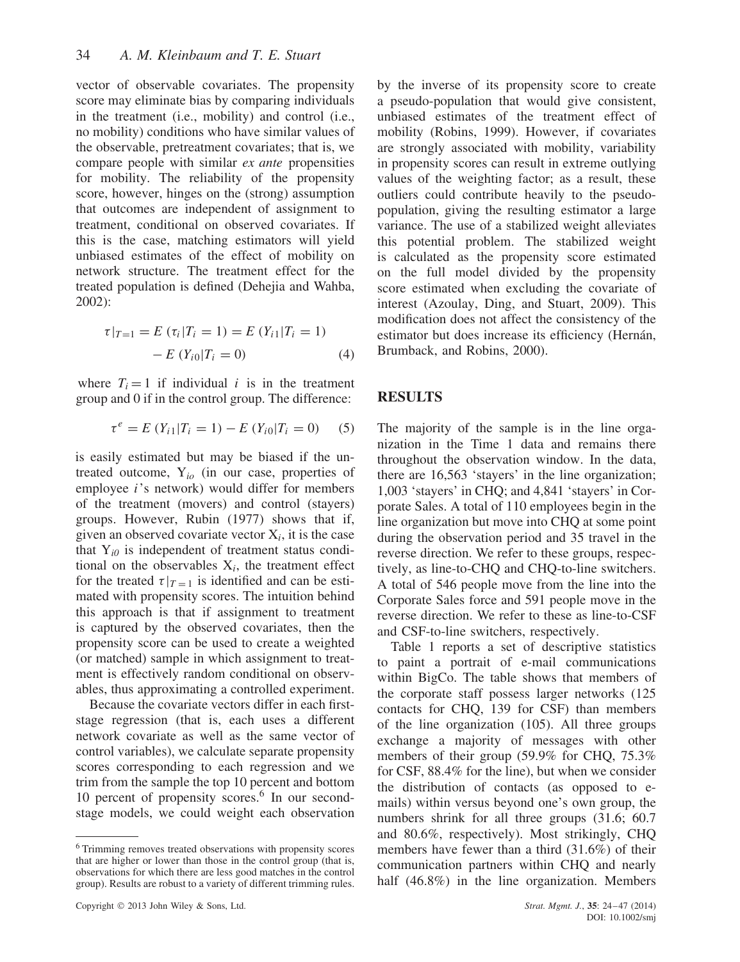vector of observable covariates. The propensity score may eliminate bias by comparing individuals in the treatment (i.e., mobility) and control (i.e., no mobility) conditions who have similar values of the observable, pretreatment covariates; that is, we compare people with similar *ex ante* propensities for mobility. The reliability of the propensity score, however, hinges on the (strong) assumption that outcomes are independent of assignment to treatment, conditional on observed covariates. If this is the case, matching estimators will yield unbiased estimates of the effect of mobility on network structure. The treatment effect for the treated population is defined (Dehejia and Wahba, 2002):

$$
\tau|_{T=1} = E(\tau_i|T_i = 1) = E(Y_{i1}|T_i = 1) - E(Y_{i0}|T_i = 0)
$$
 (4)

where  $T_i = 1$  if individual *i* is in the treatment group and 0 if in the control group. The difference:

$$
\tau^e = E(Y_{i1}|T_i = 1) - E(Y_{i0}|T_i = 0)
$$
 (5)

is easily estimated but may be biased if the untreated outcome, Y*io* (in our case, properties of employee *i*'s network) would differ for members of the treatment (movers) and control (stayers) groups. However, Rubin (1977) shows that if, given an observed covariate vector  $X_i$ , it is the case that  $Y_{i0}$  is independent of treatment status conditional on the observables  $X_i$ , the treatment effect for the treated  $\tau|_{T=1}$  is identified and can be estimated with propensity scores. The intuition behind this approach is that if assignment to treatment is captured by the observed covariates, then the propensity score can be used to create a weighted (or matched) sample in which assignment to treatment is effectively random conditional on observables, thus approximating a controlled experiment.

Because the covariate vectors differ in each firststage regression (that is, each uses a different network covariate as well as the same vector of control variables), we calculate separate propensity scores corresponding to each regression and we trim from the sample the top 10 percent and bottom 10 percent of propensity scores.<sup>6</sup> In our secondstage models, we could weight each observation

Copyright 2013 John Wiley & Sons, Ltd. *Strat. Mgmt. J.*, **35**: 24–47 (2014)

by the inverse of its propensity score to create a pseudo-population that would give consistent, unbiased estimates of the treatment effect of mobility (Robins, 1999). However, if covariates are strongly associated with mobility, variability in propensity scores can result in extreme outlying values of the weighting factor; as a result, these outliers could contribute heavily to the pseudopopulation, giving the resulting estimator a large variance. The use of a stabilized weight alleviates this potential problem. The stabilized weight is calculated as the propensity score estimated on the full model divided by the propensity score estimated when excluding the covariate of interest (Azoulay, Ding, and Stuart, 2009). This modification does not affect the consistency of the estimator but does increase its efficiency (Hernán, Brumback, and Robins, 2000).

#### **RESULTS**

The majority of the sample is in the line organization in the Time 1 data and remains there throughout the observation window. In the data, there are 16,563 'stayers' in the line organization; 1,003 'stayers' in CHQ; and 4,841 'stayers' in Corporate Sales. A total of 110 employees begin in the line organization but move into CHQ at some point during the observation period and 35 travel in the reverse direction. We refer to these groups, respectively, as line-to-CHQ and CHQ-to-line switchers. A total of 546 people move from the line into the Corporate Sales force and 591 people move in the reverse direction. We refer to these as line-to-CSF and CSF-to-line switchers, respectively.

Table 1 reports a set of descriptive statistics to paint a portrait of e-mail communications within BigCo. The table shows that members of the corporate staff possess larger networks (125 contacts for CHQ, 139 for CSF) than members of the line organization (105). All three groups exchange a majority of messages with other members of their group (59.9% for CHQ, 75.3% for CSF, 88.4% for the line), but when we consider the distribution of contacts (as opposed to emails) within versus beyond one's own group, the numbers shrink for all three groups  $(31.6; 60.7)$ and 80.6%, respectively). Most strikingly, CHQ members have fewer than a third (31.6%) of their communication partners within CHQ and nearly half (46.8%) in the line organization. Members

<sup>6</sup> Trimming removes treated observations with propensity scores that are higher or lower than those in the control group (that is, observations for which there are less good matches in the control group). Results are robust to a variety of different trimming rules.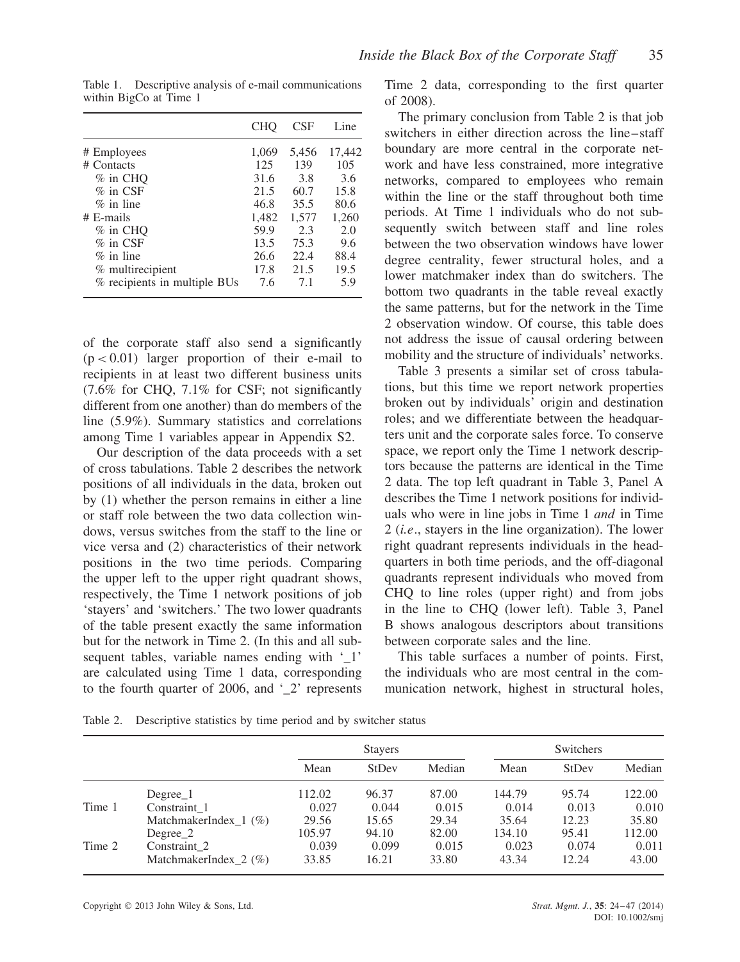|                              | <b>CHO</b> | <b>CSF</b> | Line   |
|------------------------------|------------|------------|--------|
| # Employees                  | 1,069      | 5.456      | 17.442 |
| # Contacts                   | 125        | 139        | 105    |
| $%$ in CHO                   | 31.6       | 3.8        | 3.6    |
| $%$ in CSF                   | 21.5       | 60.7       | 15.8   |
| $\%$ in line                 | 46.8       | 35.5       | 80.6   |
| $#$ E-mails                  | 1,482      | 1,577      | 1,260  |
| $%$ in CHO                   | 59.9       | 2.3        | 2.0    |
| $%$ in CSF                   | 13.5       | 75.3       | 9.6    |
| $\%$ in line                 | 26.6       | 22.4       | 88.4   |
| % multirecipient             | 17.8       | 21.5       | 19.5   |
| % recipients in multiple BUs | 7.6        | 7.1        | 5.9    |

Table 1. Descriptive analysis of e-mail communications within BigCo at Time 1

of the corporate staff also send a significantly (p *<* 0.01) larger proportion of their e-mail to recipients in at least two different business units (7.6% for CHQ, 7.1% for CSF; not significantly different from one another) than do members of the line (5.9%). Summary statistics and correlations among Time 1 variables appear in Appendix S2.

Our description of the data proceeds with a set of cross tabulations. Table 2 describes the network positions of all individuals in the data, broken out by (1) whether the person remains in either a line or staff role between the two data collection windows, versus switches from the staff to the line or vice versa and (2) characteristics of their network positions in the two time periods. Comparing the upper left to the upper right quadrant shows, respectively, the Time 1 network positions of job 'stayers' and 'switchers.' The two lower quadrants of the table present exactly the same information but for the network in Time 2. (In this and all subsequent tables, variable names ending with '1' are calculated using Time 1 data, corresponding to the fourth quarter of 2006, and  $\degree$  2' represents

Time 2 data, corresponding to the first quarter of 2008).

The primary conclusion from Table 2 is that job switchers in either direction across the line–staff boundary are more central in the corporate network and have less constrained, more integrative networks, compared to employees who remain within the line or the staff throughout both time periods. At Time 1 individuals who do not subsequently switch between staff and line roles between the two observation windows have lower degree centrality, fewer structural holes, and a lower matchmaker index than do switchers. The bottom two quadrants in the table reveal exactly the same patterns, but for the network in the Time 2 observation window. Of course, this table does not address the issue of causal ordering between mobility and the structure of individuals' networks.

Table 3 presents a similar set of cross tabulations, but this time we report network properties broken out by individuals' origin and destination roles; and we differentiate between the headquarters unit and the corporate sales force. To conserve space, we report only the Time 1 network descriptors because the patterns are identical in the Time 2 data. The top left quadrant in Table 3, Panel A describes the Time 1 network positions for individuals who were in line jobs in Time 1 *and* in Time 2 (*i.e*., stayers in the line organization). The lower right quadrant represents individuals in the headquarters in both time periods, and the off-diagonal quadrants represent individuals who moved from CHQ to line roles (upper right) and from jobs in the line to CHQ (lower left). Table 3, Panel B shows analogous descriptors about transitions between corporate sales and the line.

This table surfaces a number of points. First, the individuals who are most central in the communication network, highest in structural holes,

Table 2. Descriptive statistics by time period and by switcher status

|        |                            |        | <b>Stayers</b> |        |        | Switchers |        |
|--------|----------------------------|--------|----------------|--------|--------|-----------|--------|
|        |                            | Mean   | StDev          | Median | Mean   | StDev     | Median |
|        | $Degree_1$                 | 112.02 | 96.37          | 87.00  | 144.79 | 95.74     | 122.00 |
| Time 1 | Constraint 1               | 0.027  | 0.044          | 0.015  | 0.014  | 0.013     | 0.010  |
|        | MatchmakerIndex $1 \ (\%)$ | 29.56  | 15.65          | 29.34  | 35.64  | 12.23     | 35.80  |
|        | Degree 2                   | 105.97 | 94.10          | 82.00  | 134.10 | 95.41     | 112.00 |
| Time 2 | Constraint 2               | 0.039  | 0.099          | 0.015  | 0.023  | 0.074     | 0.011  |
|        | MatchmakerIndex $2 \ (\%)$ | 33.85  | 16.21          | 33.80  | 43.34  | 12.24     | 43.00  |

Copyright 2013 John Wiley & Sons, Ltd. *Strat. Mgmt. J.*, **35**: 24–47 (2014)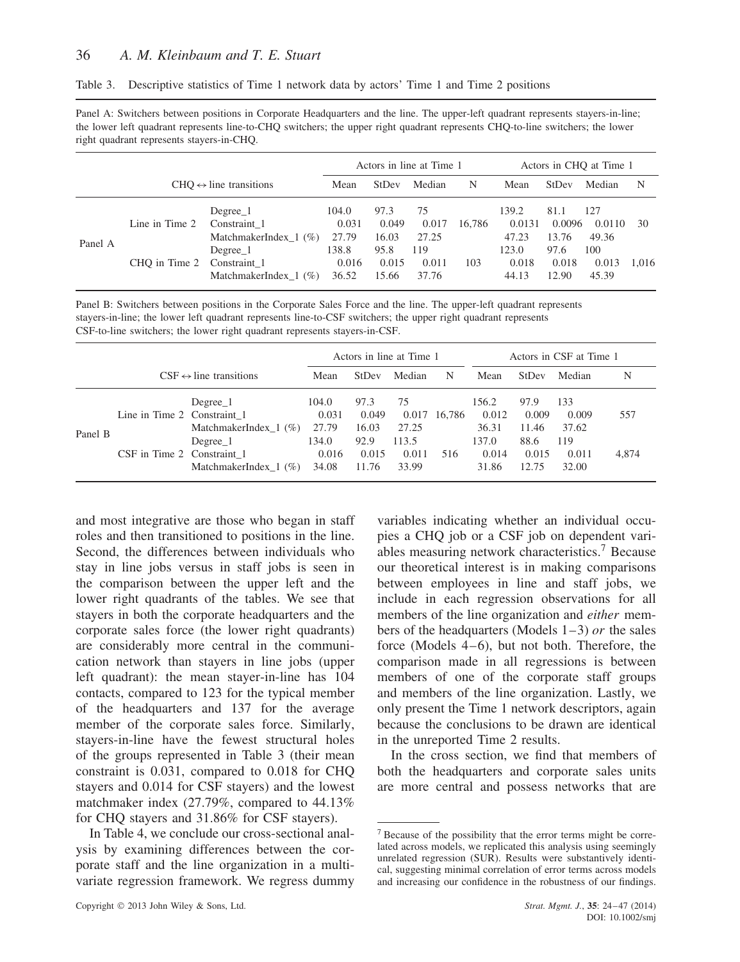Panel A: Switchers between positions in Corporate Headquarters and the line. The upper-left quadrant represents stayers-in-line; the lower left quadrant represents line-to-CHQ switchers; the upper right quadrant represents CHQ-to-line switchers; the lower right quadrant represents stayers-in-CHQ.

|         |                |                                                        |                         |                        | Actors in line at Time 1 |        |                          |                         | Actors in CHO at Time 1 |       |
|---------|----------------|--------------------------------------------------------|-------------------------|------------------------|--------------------------|--------|--------------------------|-------------------------|-------------------------|-------|
|         |                | $CHO \leftrightarrow line$ transitions                 | Mean                    | <b>StDev</b>           | Median                   | N      | Mean                     | <b>StDev</b>            | Median                  | N     |
| Panel A | Line in Time 2 | Degree 1<br>Constraint 1<br>MatchmakerIndex $1 \ (\%)$ | 104.0<br>0.031<br>27.79 | 97.3<br>0.049<br>16.03 | 75<br>0.017<br>27.25     | 16.786 | 139.2<br>0.0131<br>47.23 | 81.1<br>0.0096<br>13.76 | 127<br>0.0110<br>49.36  | 30    |
|         | CHO in Time 2  | Degree 1<br>Constraint 1<br>MatchmakerIndex $1 \ (\%)$ | 138.8<br>0.016<br>36.52 | 95.8<br>0.015<br>15.66 | 119<br>0.011<br>37.76    | 103    | 123.0<br>0.018<br>44.13  | 97.6<br>0.018<br>12.90  | 100<br>0.013<br>45.39   | 1.016 |

Panel B: Switchers between positions in the Corporate Sales Force and the line. The upper-left quadrant represents stayers-in-line; the lower left quadrant represents line-to-CSF switchers; the upper right quadrant represents CSF-to-line switchers; the lower right quadrant represents stayers-in-CSF.

|         |                                                           |                                                                                |                                                    |                                                  | Actors in line at Time 1                        |               |                                                    |                                                  | Actors in CSF at Time 1                        |              |
|---------|-----------------------------------------------------------|--------------------------------------------------------------------------------|----------------------------------------------------|--------------------------------------------------|-------------------------------------------------|---------------|----------------------------------------------------|--------------------------------------------------|------------------------------------------------|--------------|
|         |                                                           | $CSF \leftrightarrow line$ transitions                                         | Mean                                               | StDev                                            | Median                                          | N             | Mean                                               | <b>StDev</b>                                     | Median                                         | N            |
| Panel B | Line in Time 2 Constraint 1<br>CSF in Time 2 Constraint 1 | Degree 1<br>MatchmakerIndex $_1$ (%)<br>Degree 1<br>MatchmakerIndex $1 \ (\%)$ | 104.0<br>0.031<br>27.79<br>134.0<br>0.016<br>34.08 | 97.3<br>0.049<br>16.03<br>92.9<br>0.015<br>11.76 | 75<br>0.017<br>27.25<br>113.5<br>0.011<br>33.99 | 16.786<br>516 | 156.2<br>0.012<br>36.31<br>137.0<br>0.014<br>31.86 | 97.9<br>0.009<br>11.46<br>88.6<br>0.015<br>12.75 | 133<br>0.009<br>37.62<br>119<br>0.011<br>32.00 | 557<br>4,874 |

and most integrative are those who began in staff roles and then transitioned to positions in the line. Second, the differences between individuals who stay in line jobs versus in staff jobs is seen in the comparison between the upper left and the lower right quadrants of the tables. We see that stayers in both the corporate headquarters and the corporate sales force (the lower right quadrants) are considerably more central in the communication network than stayers in line jobs (upper left quadrant): the mean stayer-in-line has 104 contacts, compared to 123 for the typical member of the headquarters and 137 for the average member of the corporate sales force. Similarly, stayers-in-line have the fewest structural holes of the groups represented in Table 3 (their mean constraint is 0.031, compared to 0.018 for CHQ stayers and 0.014 for CSF stayers) and the lowest matchmaker index (27.79%, compared to 44.13% for CHQ stayers and 31.86% for CSF stayers).

In Table 4, we conclude our cross-sectional analysis by examining differences between the corporate staff and the line organization in a multivariate regression framework. We regress dummy variables indicating whether an individual occupies a CHQ job or a CSF job on dependent variables measuring network characteristics.<sup>7</sup> Because our theoretical interest is in making comparisons between employees in line and staff jobs, we include in each regression observations for all members of the line organization and *either* members of the headquarters (Models 1–3) *or* the sales force (Models 4–6), but not both. Therefore, the comparison made in all regressions is between members of one of the corporate staff groups and members of the line organization. Lastly, we only present the Time 1 network descriptors, again because the conclusions to be drawn are identical in the unreported Time 2 results.

In the cross section, we find that members of both the headquarters and corporate sales units are more central and possess networks that are

<sup>7</sup> Because of the possibility that the error terms might be correlated across models, we replicated this analysis using seemingly unrelated regression (SUR). Results were substantively identical, suggesting minimal correlation of error terms across models and increasing our confidence in the robustness of our findings.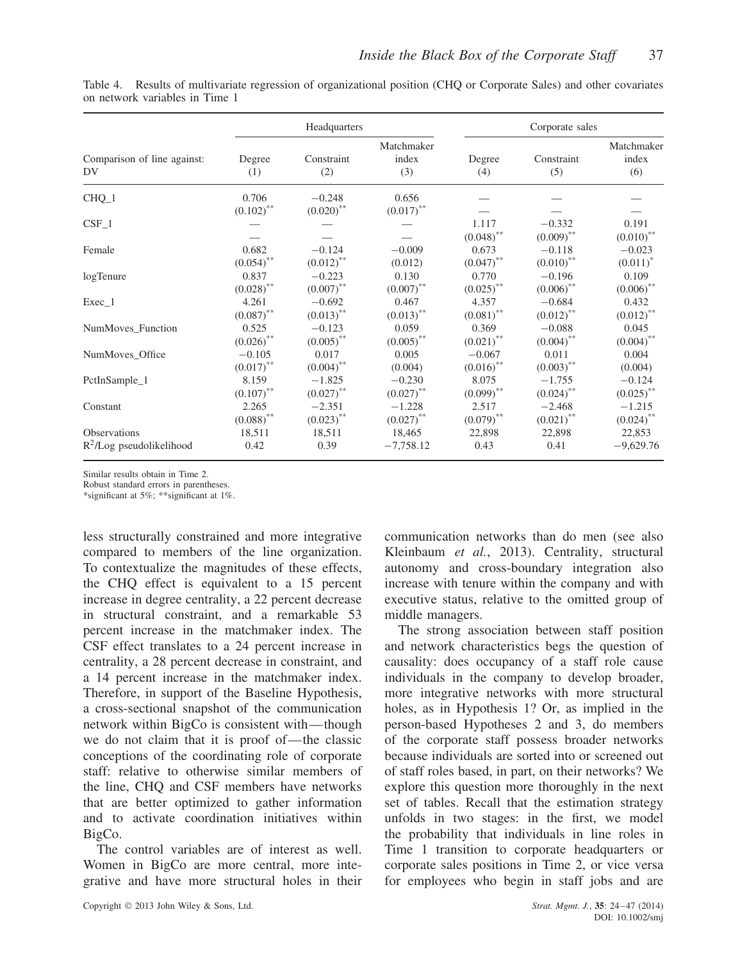|                                   |                                  | Headquarters             |                            |                         | Corporate sales          |                            |
|-----------------------------------|----------------------------------|--------------------------|----------------------------|-------------------------|--------------------------|----------------------------|
| Comparison of line against:<br>DV | Degree<br>(1)                    | Constraint<br>(2)        | Matchmaker<br>index<br>(3) | Degree<br>(4)           | Constraint<br>(5)        | Matchmaker<br>index<br>(6) |
| $CHQ_1$                           | 0.706<br>$(0.102)$ <sup>**</sup> | $-0.248$<br>$(0.020)$ ** | 0.656<br>$(0.017)$ **      |                         |                          |                            |
| $CSF_1$                           |                                  |                          |                            | 1.117<br>$(0.048)$ **   | $-0.332$<br>$(0.009)$ ** | 0.191<br>$(0.010)$ **      |
| Female                            | 0.682                            | $-0.124$                 | $-0.009$                   | 0.673                   | $-0.118$                 | $-0.023$                   |
|                                   | $(0.054)$ **                     | $(0.012)$ <sup>**</sup>  | (0.012)                    | $(0.047)$ <sup>**</sup> | $(0.010)$ **             | $(0.011)^*$                |
| logTenure                         | 0.837                            | $-0.223$                 | 0.130                      | 0.770                   | $-0.196$                 | 0.109                      |
|                                   | $(0.028)$ **                     | $(0.007)$ **             | $(0.007)$ **               | $(0.025)$ <sup>**</sup> | $(0.006)$ **             | $(0.006)$ **               |
| $Exec_1$                          | 4.261                            | $-0.692$                 | 0.467                      | 4.357                   | $-0.684$                 | 0.432                      |
|                                   | $(0.087)$ **                     | $(0.013)$ **             | $(0.013)$ **               | $(0.081)$ <sup>**</sup> | $(0.012)$ **             | $(0.012)$ **               |
| NumMoves_Function                 | 0.525                            | $-0.123$                 | 0.059                      | 0.369                   | $-0.088$                 | 0.045                      |
|                                   | $(0.026)$ **                     | $(0.005)$ **             | $(0.005)$ **               | $(0.021)$ <sup>**</sup> | $(0.004)$ **             | $(0.004)$ <sup>**</sup>    |
| NumMoves Office                   | $-0.105$                         | 0.017                    | 0.005                      | $-0.067$                | 0.011                    | 0.004                      |
|                                   | $(0.017)$ **                     | $(0.004)$ **             | (0.004)                    | $(0.016)$ **            | $(0.003)$ **             | (0.004)                    |
| PctInSample_1                     | 8.159                            | $-1.825$                 | $-0.230$                   | 8.075                   | $-1.755$                 | $-0.124$                   |
|                                   | $(0.107)$ **                     | $(0.027)$ **             | $(0.027)$ **               | $(0.099)$ **            | $(0.024)$ **             | $(0.025)$ **               |
| Constant                          | 2.265                            | $-2.351$                 | $-1.228$                   | 2.517                   | $-2.468$                 | $-1.215$                   |
|                                   | $(0.088)$ **                     | $(0.023)$ **             | $(0.027)$ **               | $(0.079)$ **            | $(0.021)$ <sup>**</sup>  | $(0.024)$ <sup>**</sup>    |
| Observations                      | 18,511                           | 18,511                   | 18,465                     | 22,898                  | 22,898                   | 22,853                     |
| $R^2$ /Log pseudolikelihood       | 0.42                             | 0.39                     | $-7,758.12$                | 0.43                    | 0.41                     | $-9,629.76$                |

Table 4. Results of multivariate regression of organizational position (CHQ or Corporate Sales) and other covariates on network variables in Time 1

Similar results obtain in Time 2.

Robust standard errors in parentheses.

\*significant at 5%; \*\*significant at 1%.

less structurally constrained and more integrative compared to members of the line organization. To contextualize the magnitudes of these effects, the CHQ effect is equivalent to a 15 percent increase in degree centrality, a 22 percent decrease in structural constraint, and a remarkable 53 percent increase in the matchmaker index. The CSF effect translates to a 24 percent increase in centrality, a 28 percent decrease in constraint, and a 14 percent increase in the matchmaker index. Therefore, in support of the Baseline Hypothesis, a cross-sectional snapshot of the communication network within BigCo is consistent with—though we do not claim that it is proof of—the classic conceptions of the coordinating role of corporate staff: relative to otherwise similar members of the line, CHQ and CSF members have networks that are better optimized to gather information and to activate coordination initiatives within BigCo.

The control variables are of interest as well. Women in BigCo are more central, more integrative and have more structural holes in their communication networks than do men (see also Kleinbaum *et al.*, 2013). Centrality, structural autonomy and cross-boundary integration also increase with tenure within the company and with executive status, relative to the omitted group of middle managers.

The strong association between staff position and network characteristics begs the question of causality: does occupancy of a staff role cause individuals in the company to develop broader, more integrative networks with more structural holes, as in Hypothesis 1? Or, as implied in the person-based Hypotheses 2 and 3, do members of the corporate staff possess broader networks because individuals are sorted into or screened out of staff roles based, in part, on their networks? We explore this question more thoroughly in the next set of tables. Recall that the estimation strategy unfolds in two stages: in the first, we model the probability that individuals in line roles in Time 1 transition to corporate headquarters or corporate sales positions in Time 2, or vice versa for employees who begin in staff jobs and are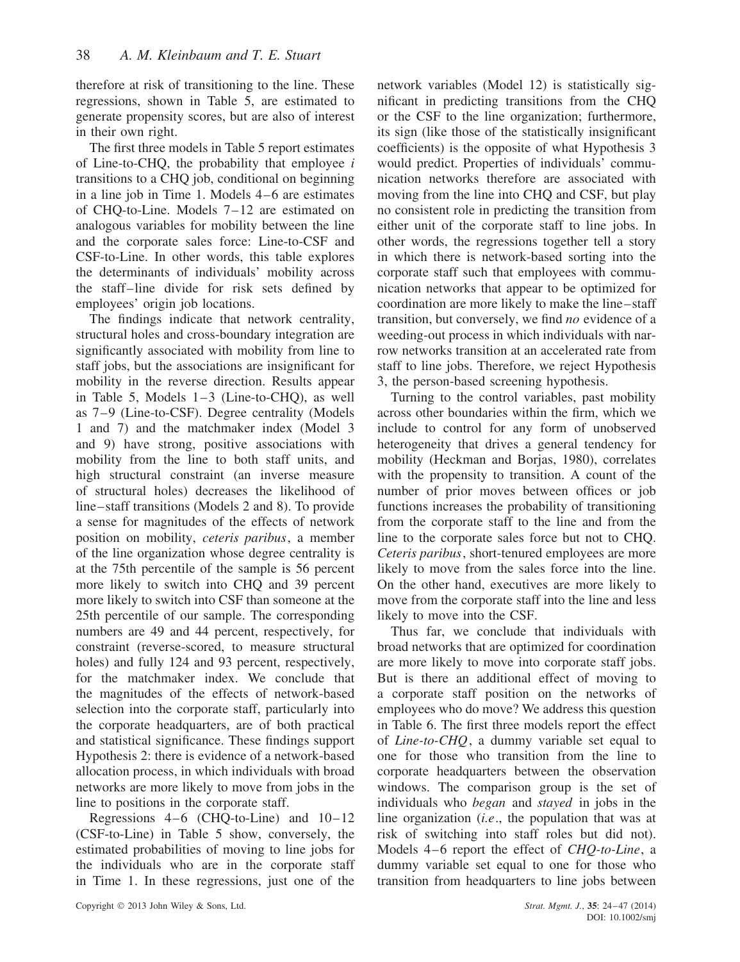therefore at risk of transitioning to the line. These regressions, shown in Table 5, are estimated to generate propensity scores, but are also of interest in their own right.

The first three models in Table 5 report estimates of Line-to-CHQ, the probability that employee *i* transitions to a CHQ job, conditional on beginning in a line job in Time 1. Models 4–6 are estimates of CHQ-to-Line. Models 7–12 are estimated on analogous variables for mobility between the line and the corporate sales force: Line-to-CSF and CSF-to-Line. In other words, this table explores the determinants of individuals' mobility across the staff–line divide for risk sets defined by employees' origin job locations.

The findings indicate that network centrality, structural holes and cross-boundary integration are significantly associated with mobility from line to staff jobs, but the associations are insignificant for mobility in the reverse direction. Results appear in Table 5, Models 1–3 (Line-to-CHQ), as well as 7–9 (Line-to-CSF). Degree centrality (Models 1 and 7) and the matchmaker index (Model 3 and 9) have strong, positive associations with mobility from the line to both staff units, and high structural constraint (an inverse measure of structural holes) decreases the likelihood of line–staff transitions (Models 2 and 8). To provide a sense for magnitudes of the effects of network position on mobility, *ceteris paribus*, a member of the line organization whose degree centrality is at the 75th percentile of the sample is 56 percent more likely to switch into CHQ and 39 percent more likely to switch into CSF than someone at the 25th percentile of our sample. The corresponding numbers are 49 and 44 percent, respectively, for constraint (reverse-scored, to measure structural holes) and fully 124 and 93 percent, respectively, for the matchmaker index. We conclude that the magnitudes of the effects of network-based selection into the corporate staff, particularly into the corporate headquarters, are of both practical and statistical significance. These findings support Hypothesis 2: there is evidence of a network-based allocation process, in which individuals with broad networks are more likely to move from jobs in the line to positions in the corporate staff.

Regressions 4–6 (CHQ-to-Line) and 10–12 (CSF-to-Line) in Table 5 show, conversely, the estimated probabilities of moving to line jobs for the individuals who are in the corporate staff in Time 1. In these regressions, just one of the

network variables (Model 12) is statistically significant in predicting transitions from the CHQ or the CSF to the line organization; furthermore, its sign (like those of the statistically insignificant coefficients) is the opposite of what Hypothesis 3 would predict. Properties of individuals' communication networks therefore are associated with moving from the line into CHQ and CSF, but play no consistent role in predicting the transition from either unit of the corporate staff to line jobs. In other words, the regressions together tell a story in which there is network-based sorting into the corporate staff such that employees with communication networks that appear to be optimized for coordination are more likely to make the line–staff transition, but conversely, we find *no* evidence of a weeding-out process in which individuals with narrow networks transition at an accelerated rate from staff to line jobs. Therefore, we reject Hypothesis 3, the person-based screening hypothesis.

Turning to the control variables, past mobility across other boundaries within the firm, which we include to control for any form of unobserved heterogeneity that drives a general tendency for mobility (Heckman and Borjas, 1980), correlates with the propensity to transition. A count of the number of prior moves between offices or job functions increases the probability of transitioning from the corporate staff to the line and from the line to the corporate sales force but not to CHQ. *Ceteris paribus*, short-tenured employees are more likely to move from the sales force into the line. On the other hand, executives are more likely to move from the corporate staff into the line and less likely to move into the CSF.

Thus far, we conclude that individuals with broad networks that are optimized for coordination are more likely to move into corporate staff jobs. But is there an additional effect of moving to a corporate staff position on the networks of employees who do move? We address this question in Table 6. The first three models report the effect of *Line-to-CHQ*, a dummy variable set equal to one for those who transition from the line to corporate headquarters between the observation windows. The comparison group is the set of individuals who *began* and *stayed* in jobs in the line organization (*i.e*., the population that was at risk of switching into staff roles but did not). Models 4–6 report the effect of *CHQ-to-Line*, a dummy variable set equal to one for those who transition from headquarters to line jobs between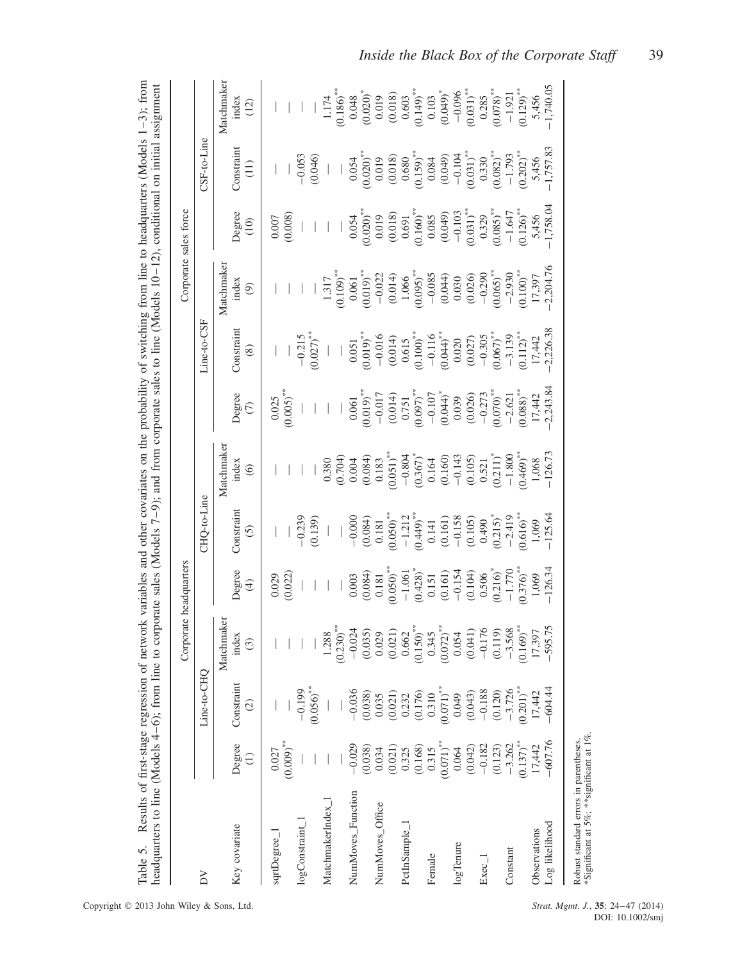|                   |                                                               |                                                                                                                        |                         | Corporate headquarters  |                                              |                                                                      |                                    |                                                                 |                                                                | Corporate sales force                                               |                                                 |                                                                                                                             |
|-------------------|---------------------------------------------------------------|------------------------------------------------------------------------------------------------------------------------|-------------------------|-------------------------|----------------------------------------------|----------------------------------------------------------------------|------------------------------------|-----------------------------------------------------------------|----------------------------------------------------------------|---------------------------------------------------------------------|-------------------------------------------------|-----------------------------------------------------------------------------------------------------------------------------|
| $\geq$            |                                                               | Line-to-CHQ                                                                                                            |                         |                         | <b>HQ-to-Line</b>                            |                                                                      |                                    | Line-to-CSF                                                     |                                                                |                                                                     | CSF-to-Line                                     |                                                                                                                             |
|                   |                                                               |                                                                                                                        | Matchmaker              |                         |                                              | Matchmaker                                                           |                                    |                                                                 | Matchmaker                                                     |                                                                     |                                                 | Matchmaker                                                                                                                  |
| Key covariate     | Degree<br>$\widehat{=}$                                       | Constraint<br>$\widehat{\infty}$                                                                                       | index<br>$\odot$        | Degree<br>$\bigoplus$   | Constrain<br>$\odot$                         | index<br>$\circledcirc$                                              | Degree<br>$\epsilon$               | Constraint<br>$\circledast$                                     | index<br>ම                                                     | Degree<br>(10)                                                      | Constrain<br>$\left(11\right)$                  | index<br>(12)                                                                                                               |
| sqrtDegree_1      | 0.027                                                         |                                                                                                                        |                         | 0.029                   |                                              |                                                                      | 0.025                              |                                                                 |                                                                | 0.007                                                               |                                                 |                                                                                                                             |
|                   | $(0.009)$ **                                                  |                                                                                                                        |                         | (0.022)                 |                                              |                                                                      | $(0.005)$ **                       |                                                                 |                                                                | (0.008)                                                             |                                                 |                                                                                                                             |
| logConstraint     |                                                               | $-0.199$                                                                                                               |                         |                         | $-0.239$                                     |                                                                      |                                    | $-0.215$                                                        |                                                                |                                                                     | $-0.053$                                        |                                                                                                                             |
|                   |                                                               | $(0.056)$ **                                                                                                           |                         |                         | (0.139)                                      |                                                                      |                                    | $(0.027)$ <sup>**</sup>                                         |                                                                |                                                                     | (0.046)                                         |                                                                                                                             |
| MatchmakerIndex 1 |                                                               |                                                                                                                        | 1.288                   |                         |                                              | 0.380                                                                |                                    |                                                                 | 1.317                                                          |                                                                     | $\mid$                                          | 1.174                                                                                                                       |
|                   |                                                               |                                                                                                                        | $(0.230)^{**}$          |                         |                                              | (0.704)                                                              |                                    |                                                                 | $(0.109)$ <sup>***</sup>                                       |                                                                     |                                                 | $0.186$ <sup>**</sup>                                                                                                       |
| NumMoves_Function | $-0.029$                                                      | $-0.036$                                                                                                               | $-0.024$                | 0.003                   | $-0.000$                                     | 0.004                                                                | 0.061                              | 0.051                                                           | 0.061                                                          | 0.054                                                               | 0.054                                           | 0.048                                                                                                                       |
|                   | (0.038)                                                       | (0.038)                                                                                                                | (0.035)                 | (0.084)                 | (0.084)                                      | (0.084)                                                              | $(0.019)^{**}$                     | $0.019$ <sup>*</sup>                                            | $0.019$ <sup>*</sup>                                           | $0.020$ <sup>*</sup>                                                | $0.020)$ <sup>**</sup>                          | $(0.020)$ <sup>*</sup>                                                                                                      |
| NumMoves_Office   | 0.034                                                         |                                                                                                                        | 0.029                   | 0.181                   | 0.181                                        | 0.183                                                                | $-0.017$                           | $-0.016$                                                        | $-0.022$                                                       | 0.019                                                               | 0.019                                           |                                                                                                                             |
|                   | $\begin{array}{c} (0.021) \\ 0.325 \\ 0.168) \end{array}$     |                                                                                                                        | (0.021)                 | $0.050$ <sup>*</sup>    | $(0.050)$ <sup>**</sup>                      | $(0.051)^{**}$                                                       | (0.014)                            |                                                                 | $\begin{array}{c} (0.014) \\ 1.066 \\ 0.095)^{**} \end{array}$ | $(0.018)$<br>0.691                                                  | $\begin{array}{c} (0.018) \\ 0.680 \end{array}$ |                                                                                                                             |
| PctInSample_      |                                                               |                                                                                                                        | 0.662                   | $-1.061$                | $-1.212$                                     |                                                                      | 0.751                              |                                                                 |                                                                |                                                                     |                                                 |                                                                                                                             |
|                   |                                                               | $\begin{array}{c} 0.035 \\ (0.021) \\ 0.232 \\ (0.176) \\ 0.310 \\ (0.071) ^{**} \\ (0.071) \\ (0.049) \\ \end{array}$ | $(0.150)$ <sup>**</sup> | $(0.428)^*$             | $(0.449)^{**}$<br>0.141<br>0.161)<br>(0.161) | $\begin{array}{c} -0.804 \\ (0.367)^* \\ 0.164 \\ 0.160 \end{array}$ | $(0.097)$ **                       | $\begin{array}{c} (0.014) \\ 0.615 \\ 0.100) ^{**} \end{array}$ |                                                                | $(0.160)$ <sup>*</sup>                                              | $(0.159)$ **                                    | $\begin{array}{c} 0.019 \\ (0.018) \\ 0.603 \\ (0.149)^{**} \\ (0.103 \\ (0.049)^{*} \\ (0.049)^{*} \\ (-0.096 \end{array}$ |
| Female            |                                                               |                                                                                                                        | 0.345                   |                         |                                              |                                                                      |                                    |                                                                 |                                                                |                                                                     |                                                 |                                                                                                                             |
|                   | $\begin{array}{c} 0.315 \\ 0.071) ^{**} \\ 0.064 \end{array}$ |                                                                                                                        | $(0.072)$ <sup>**</sup> | $\frac{0.151}{(0.161)}$ |                                              |                                                                      | $-0.107$<br>$(0.044)$ <sup>*</sup> | $\begin{array}{c}\n -0.116 \\  \hline\n 0.044\n \end{array}$    | $-0.085$<br>(0.044)<br>0.030                                   | $\begin{array}{c} 0.085 \\ (0.049) \\ -0.103 \end{array}$           | $0.084$<br>$(0.049)$<br>$-0.104$                |                                                                                                                             |
| logTenure         |                                                               |                                                                                                                        | 0.054                   | $-0.154$                |                                              | $-0.143$                                                             |                                    |                                                                 |                                                                |                                                                     |                                                 |                                                                                                                             |
|                   | (0.042)                                                       | (0.043)                                                                                                                | (0.041)                 | $(0.104)$<br>$0.506$    |                                              |                                                                      | (0.026)                            | (0.027)                                                         |                                                                |                                                                     | $(0.031)$ **                                    |                                                                                                                             |
| $Exec_1$          | $-0.182$                                                      |                                                                                                                        | $-0.176$                |                         | $(0.105)$<br>0.490                           | $\begin{array}{c} (0.105) \\ 0.521 \end{array}$                      | $-0.273$                           | $-0.305$                                                        | (0.026)                                                        |                                                                     | 0.330                                           |                                                                                                                             |
|                   | (0.123)                                                       | $-0.188$<br>(0.120)<br>$-3.726$                                                                                        | (0.119)                 | $(0.216)$ <sup>*</sup>  | $(0.215)$ <sup>*</sup>                       | $(0.211)^*$                                                          | $(0.070)$ **                       | $0.067$ <sup>**</sup>                                           | $0.065$ <sup>**</sup>                                          | $\begin{array}{c} (0.031)^{**} \\ 0.329 \\ 0.085)^{**} \end{array}$ | $0.082$ <sup>**</sup>                           | $0.031)$ **<br>0.285<br>0.078)**                                                                                            |
| Constant          | $-3.262$                                                      |                                                                                                                        | $-3.568$                | $-1.770$                | $-2.419$                                     | $-1.800$                                                             | $-2.621$                           | $-3.139$                                                        | $-2.930$                                                       | $-1.647$                                                            | $-1.793$                                        | $-1.921$                                                                                                                    |
|                   | $(0.137)$ <sup>**</sup>                                       | $0.201)$ **                                                                                                            | $0.169$ <sup>**</sup>   | $0.376$ <sup>**</sup>   | $0.616$ <sup>**</sup>                        | $0.469)$ <sup>**</sup>                                               | $0.088$ <sup>**</sup>              | $0.112)$ <sup>**</sup>                                          | $0.100$ <sup>**</sup>                                          | $0.126$ <sup>**</sup>                                               | $0.202$ <sup>**</sup>                           | $0.129)$ <sup>**</sup>                                                                                                      |
| Observations      | 17,442                                                        | 17,442                                                                                                                 | 17,397                  | 1,069                   | 1,069                                        | 1,068                                                                | 17,442                             | 17,442                                                          | 17,397<br>2,204.76                                             | 5,456                                                               | 5,456                                           | 5,456                                                                                                                       |
| Log likelihood    | $-607.76$                                                     | $-604.44$                                                                                                              | -595.75                 | $-126.34$               | 125.64                                       | $-126.73$                                                            | 2,243.8                            | 2,226.38                                                        |                                                                | 1,758.04                                                            | 1,757.83                                        | 1,740.05                                                                                                                    |
|                   |                                                               |                                                                                                                        |                         |                         |                                              |                                                                      |                                    |                                                                 |                                                                |                                                                     |                                                 |                                                                                                                             |

Results of first-stage regression of network variables and other covariates on the probability of switching from line to headquarters (Models 1-3); from Table 5. Results of first-stage regression of network variables and other covariates on the probability of switching from line to headquarters (Models 1–3); from Table 5.

Robust standard errors in parentheses. \*Significant at 5%; \*\*significant at 1%.

Robust standard errors in parentheses.<br>\*Significant at 5%; \*\*significant at 1%.

Copyright 2013 John Wiley & Sons, Ltd. *Strat. Mgmt. J.*, **35**: 24–47 (2014) DOI: 10.1002/smj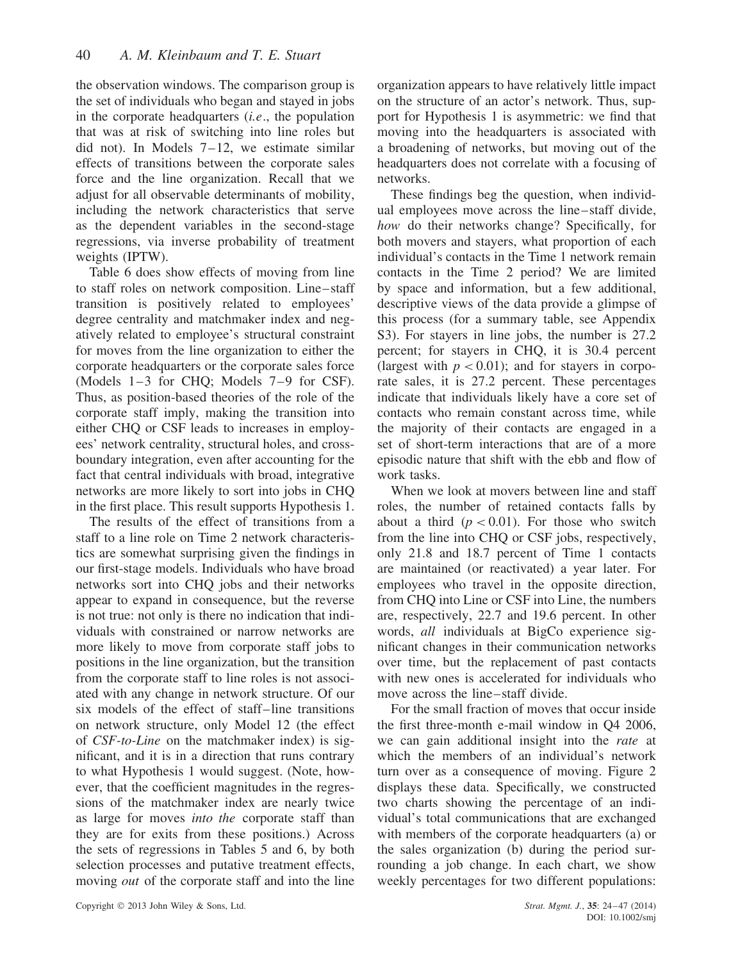the observation windows. The comparison group is the set of individuals who began and stayed in jobs in the corporate headquarters (*i.e*., the population that was at risk of switching into line roles but did not). In Models  $7-12$ , we estimate similar effects of transitions between the corporate sales force and the line organization. Recall that we adjust for all observable determinants of mobility, including the network characteristics that serve as the dependent variables in the second-stage regressions, via inverse probability of treatment weights (IPTW).

Table 6 does show effects of moving from line to staff roles on network composition. Line–staff transition is positively related to employees' degree centrality and matchmaker index and negatively related to employee's structural constraint for moves from the line organization to either the corporate headquarters or the corporate sales force (Models 1–3 for CHQ; Models 7–9 for CSF). Thus, as position-based theories of the role of the corporate staff imply, making the transition into either CHQ or CSF leads to increases in employees' network centrality, structural holes, and crossboundary integration, even after accounting for the fact that central individuals with broad, integrative networks are more likely to sort into jobs in CHQ in the first place. This result supports Hypothesis 1.

The results of the effect of transitions from a staff to a line role on Time 2 network characteristics are somewhat surprising given the findings in our first-stage models. Individuals who have broad networks sort into CHQ jobs and their networks appear to expand in consequence, but the reverse is not true: not only is there no indication that individuals with constrained or narrow networks are more likely to move from corporate staff jobs to positions in the line organization, but the transition from the corporate staff to line roles is not associated with any change in network structure. Of our six models of the effect of staff–line transitions on network structure, only Model 12 (the effect of *CSF-to-Line* on the matchmaker index) is significant, and it is in a direction that runs contrary to what Hypothesis 1 would suggest. (Note, however, that the coefficient magnitudes in the regressions of the matchmaker index are nearly twice as large for moves *into the* corporate staff than they are for exits from these positions.) Across the sets of regressions in Tables 5 and 6, by both selection processes and putative treatment effects, moving *out* of the corporate staff and into the line organization appears to have relatively little impact on the structure of an actor's network. Thus, support for Hypothesis 1 is asymmetric: we find that moving into the headquarters is associated with a broadening of networks, but moving out of the headquarters does not correlate with a focusing of networks.

These findings beg the question, when individual employees move across the line–staff divide, *how* do their networks change? Specifically, for both movers and stayers, what proportion of each individual's contacts in the Time 1 network remain contacts in the Time 2 period? We are limited by space and information, but a few additional, descriptive views of the data provide a glimpse of this process (for a summary table, see Appendix S3). For stayers in line jobs, the number is  $27.2$ percent; for stayers in CHQ, it is 30.4 percent (largest with  $p < 0.01$ ); and for stayers in corporate sales, it is 27.2 percent. These percentages indicate that individuals likely have a core set of contacts who remain constant across time, while the majority of their contacts are engaged in a set of short-term interactions that are of a more episodic nature that shift with the ebb and flow of work tasks.

When we look at movers between line and staff roles, the number of retained contacts falls by about a third  $(p < 0.01)$ . For those who switch from the line into CHQ or CSF jobs, respectively, only 21.8 and 18.7 percent of Time 1 contacts are maintained (or reactivated) a year later. For employees who travel in the opposite direction, from CHQ into Line or CSF into Line, the numbers are, respectively, 22.7 and 19.6 percent. In other words, *all* individuals at BigCo experience significant changes in their communication networks over time, but the replacement of past contacts with new ones is accelerated for individuals who move across the line–staff divide.

For the small fraction of moves that occur inside the first three-month e-mail window in Q4 2006, we can gain additional insight into the *rate* at which the members of an individual's network turn over as a consequence of moving. Figure 2 displays these data. Specifically, we constructed two charts showing the percentage of an individual's total communications that are exchanged with members of the corporate headquarters (a) or the sales organization (b) during the period surrounding a job change. In each chart, we show weekly percentages for two different populations: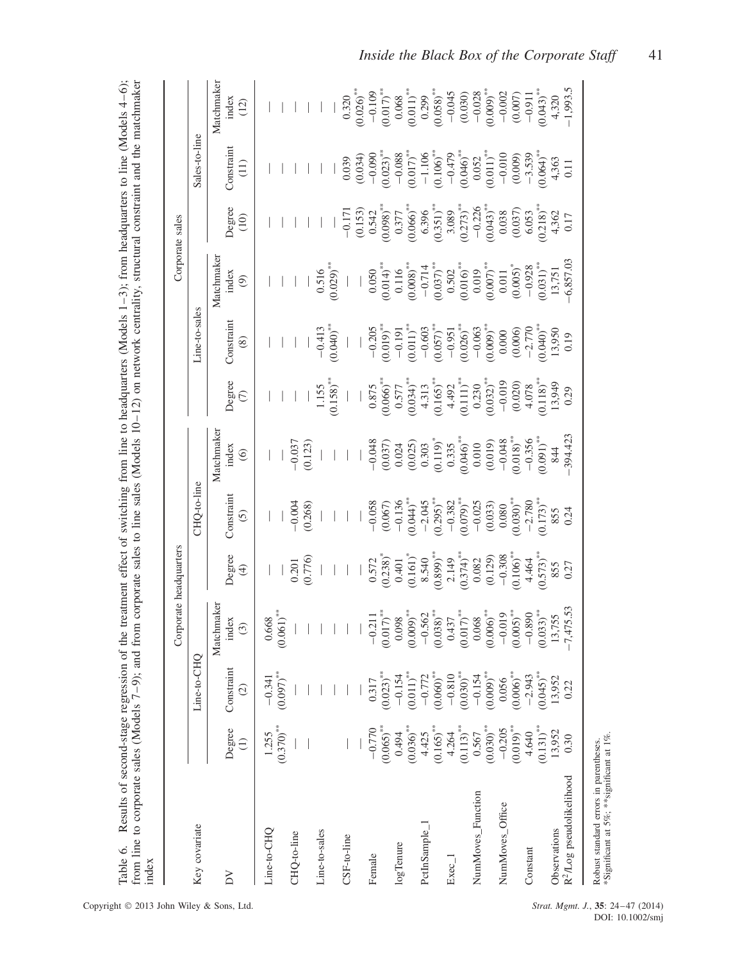| from line to corporate sales (Models 7–9); and from corporate sales to line sales (Models 10–12) on network centrality, structural constraint and the matchmaker<br>Results of second-stage regression<br>Table 6.<br>index |                                  |                                     | of the treatment effect of switching from line to headquarters (Models $1-3$ ); from headquarters to line (Models $4-6$ ); |                         |                                     |                                |                                  |                                    |                                          |                                     |                                    |                                                                      |
|-----------------------------------------------------------------------------------------------------------------------------------------------------------------------------------------------------------------------------|----------------------------------|-------------------------------------|----------------------------------------------------------------------------------------------------------------------------|-------------------------|-------------------------------------|--------------------------------|----------------------------------|------------------------------------|------------------------------------------|-------------------------------------|------------------------------------|----------------------------------------------------------------------|
|                                                                                                                                                                                                                             |                                  |                                     | Corporate headquarters                                                                                                     |                         |                                     |                                |                                  |                                    |                                          | Corporate sales                     |                                    |                                                                      |
| Key covariate                                                                                                                                                                                                               |                                  | ○<br>Line-to-CH                     |                                                                                                                            |                         | CHO-to-line                         |                                |                                  | Line-to-sales                      |                                          |                                     | Sales-to-line                      |                                                                      |
| ΔV                                                                                                                                                                                                                          | Degree<br>$\widehat{\Xi}$        | Constraint<br>$\widehat{c}$         | Matchmaker<br>index<br>$\odot$                                                                                             | Degree<br>$\bigoplus$   | Constrain<br><u>ව</u>               | Matchmaker<br>index<br>$\odot$ | Degree<br>$\epsilon$             | Constraint<br>$\circledast$        | Matchmaker<br>index<br>$\widehat{\odot}$ | Degree<br>(10)                      | Constraint<br>$\left(11\right)$    | Matchmaker<br>index<br>$\begin{array}{c} (12) \\ 1 \end{array}$      |
| Line-to-CHQ                                                                                                                                                                                                                 | $(0.370)$ <sup>**</sup><br>1.255 | $(0.097)$ **<br>$-0.341$            | $(0.061)$ **<br>0.668                                                                                                      |                         |                                     |                                |                                  |                                    |                                          |                                     |                                    |                                                                      |
| CHQ-to-line                                                                                                                                                                                                                 |                                  |                                     |                                                                                                                            | 0.201                   | $-0.004$                            | $-0.037$                       |                                  |                                    |                                          |                                     |                                    |                                                                      |
|                                                                                                                                                                                                                             |                                  |                                     |                                                                                                                            | (0.776)                 | (0.268)                             | (0.123)                        |                                  |                                    |                                          |                                     |                                    |                                                                      |
| Line-to-sales                                                                                                                                                                                                               |                                  |                                     |                                                                                                                            |                         |                                     |                                | 1.155                            | $-0.413$                           | 0.516                                    |                                     |                                    |                                                                      |
|                                                                                                                                                                                                                             |                                  |                                     |                                                                                                                            |                         |                                     |                                | (0.158)                          | $(0.040)$ **                       | $(0.029)$ **                             |                                     |                                    |                                                                      |
| CSF-to-line                                                                                                                                                                                                                 |                                  |                                     |                                                                                                                            |                         |                                     |                                |                                  |                                    |                                          | $-0.171$                            | 0.039                              | 0.320                                                                |
|                                                                                                                                                                                                                             |                                  |                                     |                                                                                                                            |                         |                                     |                                |                                  |                                    |                                          | (0.153)                             | (0.034)                            | $(0.026)$ **                                                         |
| Female                                                                                                                                                                                                                      | $-0.770$                         | 0.317                               | $-0.211$                                                                                                                   | 0.572                   | $-0.058$                            | $-0.048$                       | 0.875                            | $-0.205$                           | 0.050                                    | 0.542                               | $-0.090$                           | $-0.109$                                                             |
| logTenure                                                                                                                                                                                                                   | $(0.065)$ **<br>0.494            | $(0.023)$ <sup>**</sup><br>$-0.154$ | $0.017$ <sup>**</sup><br>0.098                                                                                             | $(0.238)^*$<br>0.401    | $-0.136$<br>(0.067)                 | (0.037)<br>0.024               | $(0.066)$ <sup>**</sup><br>0.577 | (6100)<br>$-0.191$                 | $(0.014)^{**}$<br>0.116                  | $(0.098)$ **<br>0.377               | $0.023)$ <sup>**</sup><br>$-0.088$ | $(0.017)$ **<br>0.068                                                |
|                                                                                                                                                                                                                             | $(0.036)$ **                     | $0.011)$ **                         | $(0.009)$ **                                                                                                               | $(0.161)^*$             | $0.044$ <sup>*</sup>                | $(0.025)$<br>0.303             | $(0.034)$ **                     | $(0.011)^*$                        | $(0.008)$ <sup>**</sup>                  | $0.066$ <sup>**</sup>               | $\frac{(0.017)}{-1.106}$           |                                                                      |
| PctInSample_1                                                                                                                                                                                                               | $(0.165)$ **<br>4.425            | $0.060$ <sup>**</sup><br>$-0.772$   | $(0.038)$ **<br>$-0.562$                                                                                                   | $(0.899)$ **<br>8.540   | $(0.295)$ <sup>**</sup><br>$-2.045$ | $(0.119)^*$                    | $4.313$<br>(0.165)**             | $\frac{-0.603}{(0.057)}$           | $(0.037)$ **<br>$-0.714$                 | $(0.351)^{**}$<br>6.396             | $(0.106)$ <sup>**</sup>            | $\begin{array}{c} (0.011)^{**} \\ 0.299 \\ (0.058)^{**} \end{array}$ |
| $E$ xec $_{-}$ 1                                                                                                                                                                                                            | 4.264                            | $-0.810$                            | 0.437                                                                                                                      | 2.149                   | $-0.382$                            | 0.335                          | 4.492                            | $-0.951$                           | 0.502                                    | 3.089                               | $-0.479$                           | $-0.045$                                                             |
|                                                                                                                                                                                                                             | $(0.113)$ <sup>**</sup>          | $(0.030)$ **                        | $(0.017)$ **                                                                                                               | $(0.374)$ **            | $(0.079)$ **                        | $(0.046)$ **                   | $(0.111)^{**}$                   | $(0.026)$ <sup>**</sup>            | $(0.016)$ <sup>**</sup>                  | $(0.273)$ <sup>**</sup>             | $(0.046)$ **                       | (0.030)                                                              |
| NumMoves Function                                                                                                                                                                                                           | $(0.030)$ **<br>0.567            | $(0.009)$ **<br>$-0.154$            | $(0.006)$ **<br>0.068                                                                                                      | (0.129)<br>0.082        | $-0.025$<br>(0.033)                 | (0.019)<br>0.010               | $(0.032)$ **<br>0.230            | $0.009)$ <sup>**</sup><br>$-0.063$ | $(0.007)$ **<br>0.019                    | $(0.043)$ <sup>**</sup><br>$-0.226$ | $(0.011)^{**}$<br>0.052            | $(0.009)$ **<br>$-0.028$                                             |
| NumMoves_Office                                                                                                                                                                                                             | $-0.205$                         | 0.056                               | $-0.019$                                                                                                                   | $-0.308$                | 0.080                               | $-0.048$                       | $-0.019$                         | 0.000                              | 0.011                                    | 0.038                               | $-0.010$                           | $-0.002$                                                             |
| Constant                                                                                                                                                                                                                    | $(0.019)^{**}$<br>4.640          | $(0.006)$ <sup>**</sup><br>$-2.943$ | $0.005$ <sup>**</sup><br>$-0.890$                                                                                          | $(0.106)$ **<br>4.464   | $(0.030)$ <sup>**</sup><br>$-2.780$ | $(0.018)$ **<br>$-0.356$       | (0.020)<br>4.078                 | $-2.770$<br>(0.006)                | $-0.928$<br>$(0.005)$ *                  | (0.037)<br>6.053                    | $-3.539$<br>(0.009)                | (0.007)<br>$-0.911$                                                  |
|                                                                                                                                                                                                                             | $(0.131)^{**}$                   | $(0.045)$ <sup>**</sup>             | $0.033)$ **                                                                                                                | $(0.573)$ <sup>**</sup> | $(0.173)$ <sup>**</sup>             | $(0.091)$ **                   | $(0.118)$ <sup>**</sup>          | $0.040$ <sup>**</sup>              | $(0.031)$ <sup>**</sup>                  | $(0.218)^*$                         | $0.064$ <sup>**</sup>              | $(0.043)$ **                                                         |
| R <sup>2</sup> /Log pseudolikelihood<br>Observations                                                                                                                                                                        | 13,952<br>0.30                   | 13,952<br>0.22                      | 7,475.53<br>13,755                                                                                                         | 0.27<br>855             | 0.24<br>855                         | 394.423<br>844                 | 13,949<br>0.29                   | 13,950<br>0.19                     | 6,857.03<br>13,751                       | 4,362<br>0.17                       | 4,363<br>0.11                      | $-1,993.5$<br>4,320                                                  |
|                                                                                                                                                                                                                             |                                  |                                     |                                                                                                                            |                         |                                     |                                |                                  |                                    |                                          |                                     |                                    |                                                                      |

Robust standard errors in parentheses. \*Significant at 5%; \*\*significant at 1%.

Robust standard errors in parentheses.<br>\*Significant at 5%; \*\*significant at 1%.

DOI: 10.1002/smj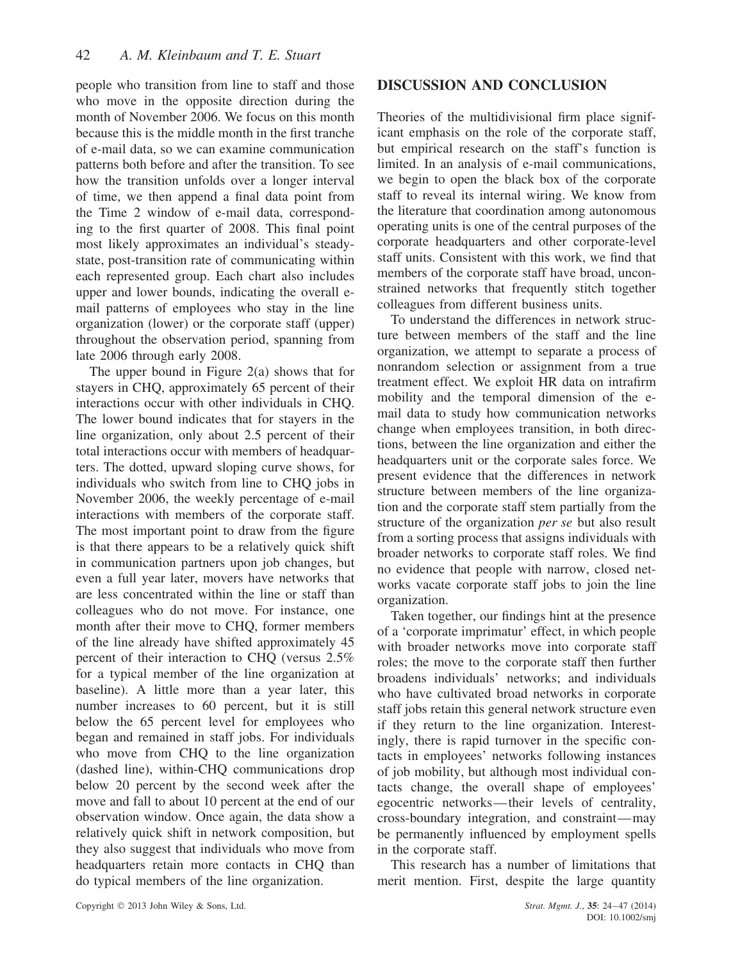people who transition from line to staff and those who move in the opposite direction during the month of November 2006. We focus on this month because this is the middle month in the first tranche of e-mail data, so we can examine communication patterns both before and after the transition. To see how the transition unfolds over a longer interval of time, we then append a final data point from the Time 2 window of e-mail data, corresponding to the first quarter of 2008. This final point most likely approximates an individual's steadystate, post-transition rate of communicating within each represented group. Each chart also includes upper and lower bounds, indicating the overall email patterns of employees who stay in the line organization (lower) or the corporate staff (upper) throughout the observation period, spanning from late 2006 through early 2008.

The upper bound in Figure 2(a) shows that for stayers in CHQ, approximately 65 percent of their interactions occur with other individuals in CHQ. The lower bound indicates that for stayers in the line organization, only about 2.5 percent of their total interactions occur with members of headquarters. The dotted, upward sloping curve shows, for individuals who switch from line to CHQ jobs in November 2006, the weekly percentage of e-mail interactions with members of the corporate staff. The most important point to draw from the figure is that there appears to be a relatively quick shift in communication partners upon job changes, but even a full year later, movers have networks that are less concentrated within the line or staff than colleagues who do not move. For instance, one month after their move to CHQ, former members of the line already have shifted approximately 45 percent of their interaction to CHQ (versus 2.5% for a typical member of the line organization at baseline). A little more than a year later, this number increases to 60 percent, but it is still below the 65 percent level for employees who began and remained in staff jobs. For individuals who move from CHQ to the line organization (dashed line), within-CHQ communications drop below 20 percent by the second week after the move and fall to about 10 percent at the end of our observation window. Once again, the data show a relatively quick shift in network composition, but they also suggest that individuals who move from headquarters retain more contacts in CHQ than do typical members of the line organization.

# **DISCUSSION AND CONCLUSION**

Theories of the multidivisional firm place significant emphasis on the role of the corporate staff, but empirical research on the staff's function is limited. In an analysis of e-mail communications, we begin to open the black box of the corporate staff to reveal its internal wiring. We know from the literature that coordination among autonomous operating units is one of the central purposes of the corporate headquarters and other corporate-level staff units. Consistent with this work, we find that members of the corporate staff have broad, unconstrained networks that frequently stitch together colleagues from different business units.

To understand the differences in network structure between members of the staff and the line organization, we attempt to separate a process of nonrandom selection or assignment from a true treatment effect. We exploit HR data on intrafirm mobility and the temporal dimension of the email data to study how communication networks change when employees transition, in both directions, between the line organization and either the headquarters unit or the corporate sales force. We present evidence that the differences in network structure between members of the line organization and the corporate staff stem partially from the structure of the organization *per se* but also result from a sorting process that assigns individuals with broader networks to corporate staff roles. We find no evidence that people with narrow, closed networks vacate corporate staff jobs to join the line organization.

Taken together, our findings hint at the presence of a 'corporate imprimatur' effect, in which people with broader networks move into corporate staff roles; the move to the corporate staff then further broadens individuals' networks; and individuals who have cultivated broad networks in corporate staff jobs retain this general network structure even if they return to the line organization. Interestingly, there is rapid turnover in the specific contacts in employees' networks following instances of job mobility, but although most individual contacts change, the overall shape of employees' egocentric networks—their levels of centrality, cross-boundary integration, and constraint—may be permanently influenced by employment spells in the corporate staff.

This research has a number of limitations that merit mention. First, despite the large quantity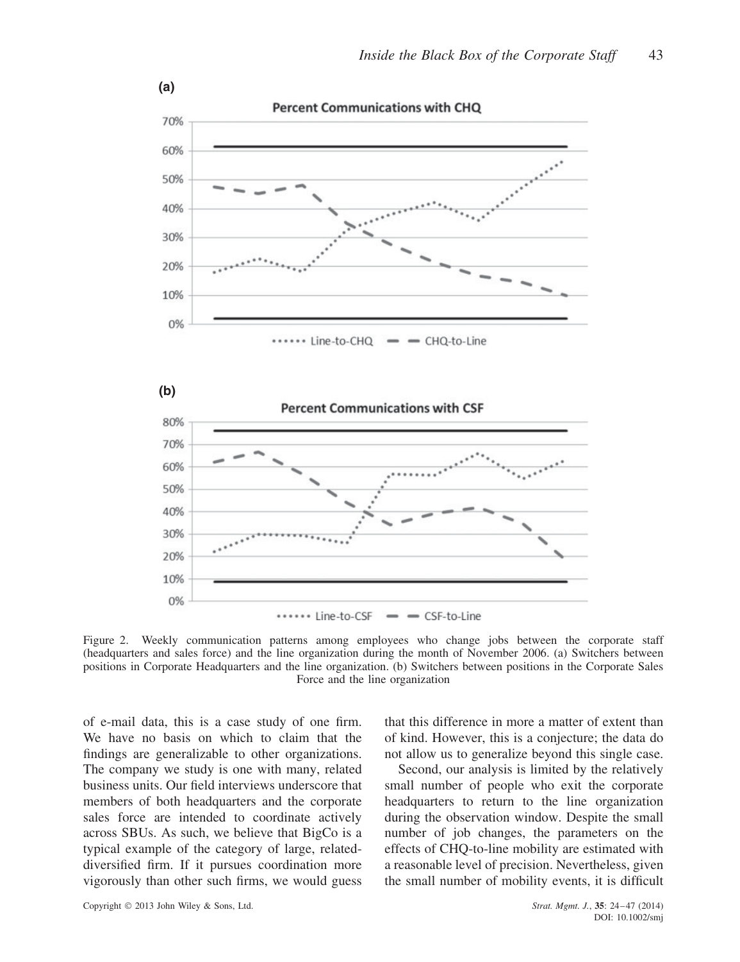

Figure 2. Weekly communication patterns among employees who change jobs between the corporate staff (headquarters and sales force) and the line organization during the month of November 2006. (a) Switchers between positions in Corporate Headquarters and the line organization. (b) Switchers between positions in the Corporate Sales Force and the line organization

of e-mail data, this is a case study of one firm. We have no basis on which to claim that the findings are generalizable to other organizations. The company we study is one with many, related business units. Our field interviews underscore that members of both headquarters and the corporate sales force are intended to coordinate actively across SBUs. As such, we believe that BigCo is a typical example of the category of large, relateddiversified firm. If it pursues coordination more vigorously than other such firms, we would guess

that this difference in more a matter of extent than of kind. However, this is a conjecture; the data do not allow us to generalize beyond this single case.

Second, our analysis is limited by the relatively small number of people who exit the corporate headquarters to return to the line organization during the observation window. Despite the small number of job changes, the parameters on the effects of CHQ-to-line mobility are estimated with a reasonable level of precision. Nevertheless, given the small number of mobility events, it is difficult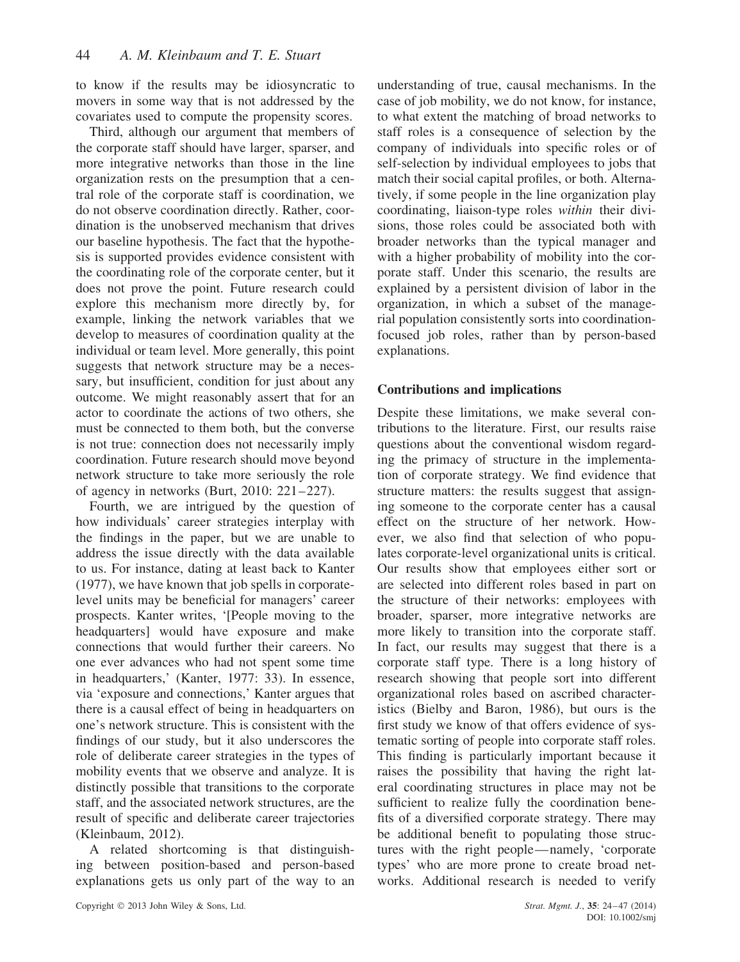to know if the results may be idiosyncratic to movers in some way that is not addressed by the covariates used to compute the propensity scores.

Third, although our argument that members of the corporate staff should have larger, sparser, and more integrative networks than those in the line organization rests on the presumption that a central role of the corporate staff is coordination, we do not observe coordination directly. Rather, coordination is the unobserved mechanism that drives our baseline hypothesis. The fact that the hypothesis is supported provides evidence consistent with the coordinating role of the corporate center, but it does not prove the point. Future research could explore this mechanism more directly by, for example, linking the network variables that we develop to measures of coordination quality at the individual or team level. More generally, this point suggests that network structure may be a necessary, but insufficient, condition for just about any outcome. We might reasonably assert that for an actor to coordinate the actions of two others, she must be connected to them both, but the converse is not true: connection does not necessarily imply coordination. Future research should move beyond network structure to take more seriously the role of agency in networks (Burt, 2010: 221–227).

Fourth, we are intrigued by the question of how individuals' career strategies interplay with the findings in the paper, but we are unable to address the issue directly with the data available to us. For instance, dating at least back to Kanter (1977), we have known that job spells in corporatelevel units may be beneficial for managers' career prospects. Kanter writes, '[People moving to the headquarters] would have exposure and make connections that would further their careers. No one ever advances who had not spent some time in headquarters,' (Kanter, 1977: 33). In essence, via 'exposure and connections,' Kanter argues that there is a causal effect of being in headquarters on one's network structure. This is consistent with the findings of our study, but it also underscores the role of deliberate career strategies in the types of mobility events that we observe and analyze. It is distinctly possible that transitions to the corporate staff, and the associated network structures, are the result of specific and deliberate career trajectories (Kleinbaum, 2012).

A related shortcoming is that distinguishing between position-based and person-based explanations gets us only part of the way to an understanding of true, causal mechanisms. In the case of job mobility, we do not know, for instance, to what extent the matching of broad networks to staff roles is a consequence of selection by the company of individuals into specific roles or of self-selection by individual employees to jobs that match their social capital profiles, or both. Alternatively, if some people in the line organization play coordinating, liaison-type roles *within* their divisions, those roles could be associated both with broader networks than the typical manager and with a higher probability of mobility into the corporate staff. Under this scenario, the results are explained by a persistent division of labor in the organization, in which a subset of the managerial population consistently sorts into coordinationfocused job roles, rather than by person-based explanations.

# **Contributions and implications**

Despite these limitations, we make several contributions to the literature. First, our results raise questions about the conventional wisdom regarding the primacy of structure in the implementation of corporate strategy. We find evidence that structure matters: the results suggest that assigning someone to the corporate center has a causal effect on the structure of her network. However, we also find that selection of who populates corporate-level organizational units is critical. Our results show that employees either sort or are selected into different roles based in part on the structure of their networks: employees with broader, sparser, more integrative networks are more likely to transition into the corporate staff. In fact, our results may suggest that there is a corporate staff type. There is a long history of research showing that people sort into different organizational roles based on ascribed characteristics (Bielby and Baron, 1986), but ours is the first study we know of that offers evidence of systematic sorting of people into corporate staff roles. This finding is particularly important because it raises the possibility that having the right lateral coordinating structures in place may not be sufficient to realize fully the coordination benefits of a diversified corporate strategy. There may be additional benefit to populating those structures with the right people—namely, 'corporate types' who are more prone to create broad networks. Additional research is needed to verify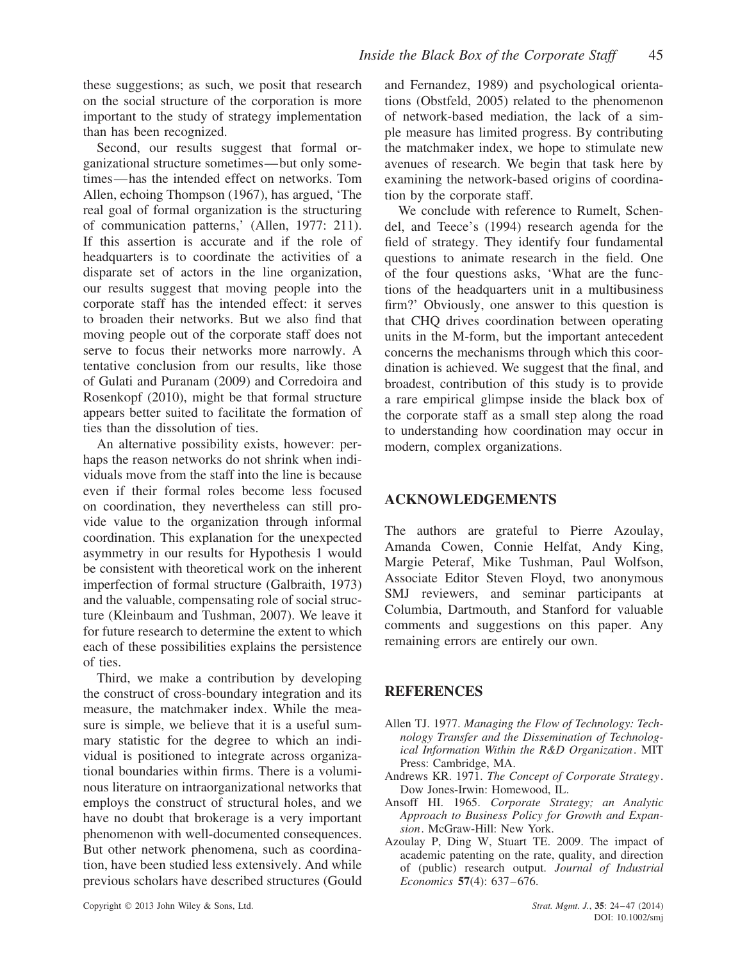these suggestions; as such, we posit that research on the social structure of the corporation is more important to the study of strategy implementation than has been recognized.

Second, our results suggest that formal organizational structure sometimes—but only sometimes—has the intended effect on networks. Tom Allen, echoing Thompson (1967), has argued, 'The real goal of formal organization is the structuring of communication patterns,' (Allen, 1977: 211). If this assertion is accurate and if the role of headquarters is to coordinate the activities of a disparate set of actors in the line organization, our results suggest that moving people into the corporate staff has the intended effect: it serves to broaden their networks. But we also find that moving people out of the corporate staff does not serve to focus their networks more narrowly. A tentative conclusion from our results, like those of Gulati and Puranam (2009) and Corredoira and Rosenkopf (2010), might be that formal structure appears better suited to facilitate the formation of ties than the dissolution of ties.

An alternative possibility exists, however: perhaps the reason networks do not shrink when individuals move from the staff into the line is because even if their formal roles become less focused on coordination, they nevertheless can still provide value to the organization through informal coordination. This explanation for the unexpected asymmetry in our results for Hypothesis 1 would be consistent with theoretical work on the inherent imperfection of formal structure (Galbraith, 1973) and the valuable, compensating role of social structure (Kleinbaum and Tushman, 2007). We leave it for future research to determine the extent to which each of these possibilities explains the persistence of ties.

Third, we make a contribution by developing the construct of cross-boundary integration and its measure, the matchmaker index. While the measure is simple, we believe that it is a useful summary statistic for the degree to which an individual is positioned to integrate across organizational boundaries within firms. There is a voluminous literature on intraorganizational networks that employs the construct of structural holes, and we have no doubt that brokerage is a very important phenomenon with well-documented consequences. But other network phenomena, such as coordination, have been studied less extensively. And while previous scholars have described structures (Gould and Fernandez, 1989) and psychological orientations (Obstfeld, 2005) related to the phenomenon of network-based mediation, the lack of a simple measure has limited progress. By contributing the matchmaker index, we hope to stimulate new avenues of research. We begin that task here by examining the network-based origins of coordination by the corporate staff.

We conclude with reference to Rumelt, Schendel, and Teece's (1994) research agenda for the field of strategy. They identify four fundamental questions to animate research in the field. One of the four questions asks, 'What are the functions of the headquarters unit in a multibusiness firm?' Obviously, one answer to this question is that CHQ drives coordination between operating units in the M-form, but the important antecedent concerns the mechanisms through which this coordination is achieved. We suggest that the final, and broadest, contribution of this study is to provide a rare empirical glimpse inside the black box of the corporate staff as a small step along the road to understanding how coordination may occur in modern, complex organizations.

#### **ACKNOWLEDGEMENTS**

The authors are grateful to Pierre Azoulay, Amanda Cowen, Connie Helfat, Andy King, Margie Peteraf, Mike Tushman, Paul Wolfson, Associate Editor Steven Floyd, two anonymous SMJ reviewers, and seminar participants at Columbia, Dartmouth, and Stanford for valuable comments and suggestions on this paper. Any remaining errors are entirely our own.

# **REFERENCES**

- Allen TJ. 1977. *Managing the Flow of Technology: Technology Transfer and the Dissemination of Technological Information Within the R&D Organization*. MIT Press: Cambridge, MA.
- Andrews KR. 1971. *The Concept of Corporate Strategy*. Dow Jones-Irwin: Homewood, IL.
- Ansoff HI. 1965. *Corporate Strategy; an Analytic Approach to Business Policy for Growth and Expansion*. McGraw-Hill: New York.
- Azoulay P, Ding W, Stuart TE. 2009. The impact of academic patenting on the rate, quality, and direction of (public) research output. *Journal of Industrial Economics* **57**(4): 637–676.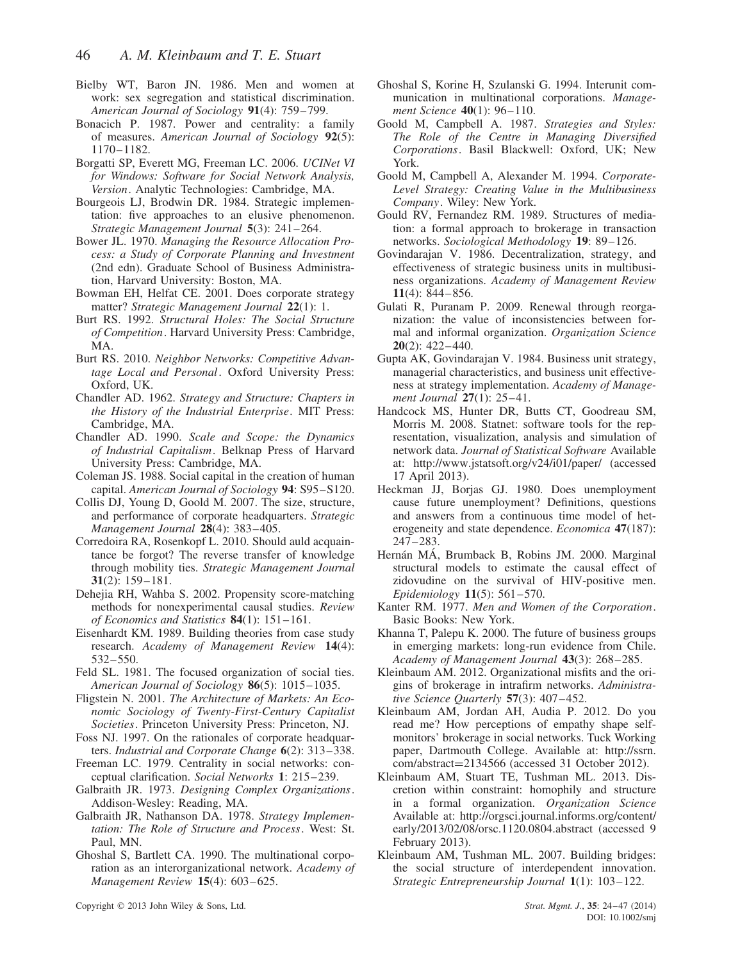- Bielby WT, Baron JN. 1986. Men and women at work: sex segregation and statistical discrimination. *American Journal of Sociology* **91**(4): 759–799.
- Bonacich P. 1987. Power and centrality: a family of measures. *American Journal of Sociology* **92**(5): 1170–1182.
- Borgatti SP, Everett MG, Freeman LC. 2006. *UCINet VI for Windows: Software for Social Network Analysis, Version*. Analytic Technologies: Cambridge, MA.
- Bourgeois LJ, Brodwin DR. 1984. Strategic implementation: five approaches to an elusive phenomenon. *Strategic Management Journal* **5**(3): 241–264.
- Bower JL. 1970. *Managing the Resource Allocation Process: a Study of Corporate Planning and Investment* (2nd edn). Graduate School of Business Administration, Harvard University: Boston, MA.
- Bowman EH, Helfat CE. 2001. Does corporate strategy matter? *Strategic Management Journal* **22**(1): 1.
- Burt RS. 1992. *Structural Holes: The Social Structure of Competition*. Harvard University Press: Cambridge, MA.
- Burt RS. 2010. *Neighbor Networks: Competitive Advantage Local and Personal*. Oxford University Press: Oxford, UK.
- Chandler AD. 1962. *Strategy and Structure: Chapters in the History of the Industrial Enterprise*. MIT Press: Cambridge, MA.
- Chandler AD. 1990. *Scale and Scope: the Dynamics of Industrial Capitalism*. Belknap Press of Harvard University Press: Cambridge, MA.
- Coleman JS. 1988. Social capital in the creation of human capital. *American Journal of Sociology* **94**: S95–S120.
- Collis DJ, Young D, Goold M. 2007. The size, structure, and performance of corporate headquarters. *Strategic Management Journal* **28**(4): 383–405.
- Corredoira RA, Rosenkopf L. 2010. Should auld acquaintance be forgot? The reverse transfer of knowledge through mobility ties. *Strategic Management Journal* **31**(2): 159–181.
- Dehejia RH, Wahba S. 2002. Propensity score-matching methods for nonexperimental causal studies. *Review of Economics and Statistics* **84**(1): 151–161.
- Eisenhardt KM. 1989. Building theories from case study research. *Academy of Management Review* **14**(4): 532–550.
- Feld SL. 1981. The focused organization of social ties. *American Journal of Sociology* **86**(5): 1015–1035.
- Fligstein N. 2001. *The Architecture of Markets: An Economic Sociology of Twenty-First-Century Capitalist Societies*. Princeton University Press: Princeton, NJ.
- Foss NJ. 1997. On the rationales of corporate headquarters. *Industrial and Corporate Change* **6**(2): 313–338.
- Freeman LC. 1979. Centrality in social networks: conceptual clarification. *Social Networks* **1**: 215–239.
- Galbraith JR. 1973. *Designing Complex Organizations*. Addison-Wesley: Reading, MA.
- Galbraith JR, Nathanson DA. 1978. *Strategy Implementation: The Role of Structure and Process*. West: St. Paul, MN.
- Ghoshal S, Bartlett CA. 1990. The multinational corporation as an interorganizational network. *Academy of Management Review* **15**(4): 603–625.
- Goold M, Campbell A. 1987. *Strategies and Styles: The Role of the Centre in Managing Diversified Corporations*. Basil Blackwell: Oxford, UK; New York.
- Goold M, Campbell A, Alexander M. 1994. *Corporate-Level Strategy: Creating Value in the Multibusiness Company*. Wiley: New York.
- Gould RV, Fernandez RM. 1989. Structures of mediation: a formal approach to brokerage in transaction networks. *Sociological Methodology* **19**: 89–126.
- Govindarajan V. 1986. Decentralization, strategy, and effectiveness of strategic business units in multibusiness organizations. *Academy of Management Review* **11**(4): 844–856.
- Gulati R, Puranam P. 2009. Renewal through reorganization: the value of inconsistencies between formal and informal organization. *Organization Science* **20**(2): 422–440.
- Gupta AK, Govindarajan V. 1984. Business unit strategy, managerial characteristics, and business unit effectiveness at strategy implementation. *Academy of Management Journal* **27**(1): 25–41.
- Handcock MS, Hunter DR, Butts CT, Goodreau SM, Morris M. 2008. Statnet: software tools for the representation, visualization, analysis and simulation of network data. *Journal of Statistical Software* Available at: http://www.jstatsoft.org/v24/i01/paper/ (accessed 17 April 2013).
- Heckman JJ, Borjas GJ. 1980. Does unemployment cause future unemployment? Definitions, questions and answers from a continuous time model of heterogeneity and state dependence. *Economica* **47**(187): 247–283.
- Hernán MÁ, Brumback B, Robins JM. 2000. Marginal structural models to estimate the causal effect of zidovudine on the survival of HIV-positive men. *Epidemiology* **11**(5): 561–570.
- Kanter RM. 1977. *Men and Women of the Corporation*. Basic Books: New York.
- Khanna T, Palepu K. 2000. The future of business groups in emerging markets: long-run evidence from Chile. *Academy of Management Journal* **43**(3): 268–285.
- Kleinbaum AM. 2012. Organizational misfits and the origins of brokerage in intrafirm networks. *Administrative Science Quarterly* **57**(3): 407–452.
- Kleinbaum AM, Jordan AH, Audia P. 2012. Do you read me? How perceptions of empathy shape selfmonitors' brokerage in social networks. Tuck Working paper, Dartmouth College. Available at: http://ssrn.  $\text{com/abstract}=2134566$  (accessed 31 October 2012).
- Kleinbaum AM, Stuart TE, Tushman ML. 2013. Discretion within constraint: homophily and structure in a formal organization. *Organization Science* Available at: http://orgsci.journal.informs.org/content/ early/2013/02/08/orsc.1120.0804.abstract (accessed 9 February 2013).
- Kleinbaum AM, Tushman ML. 2007. Building bridges: the social structure of interdependent innovation. *Strategic Entrepreneurship Journal* **1**(1): 103–122.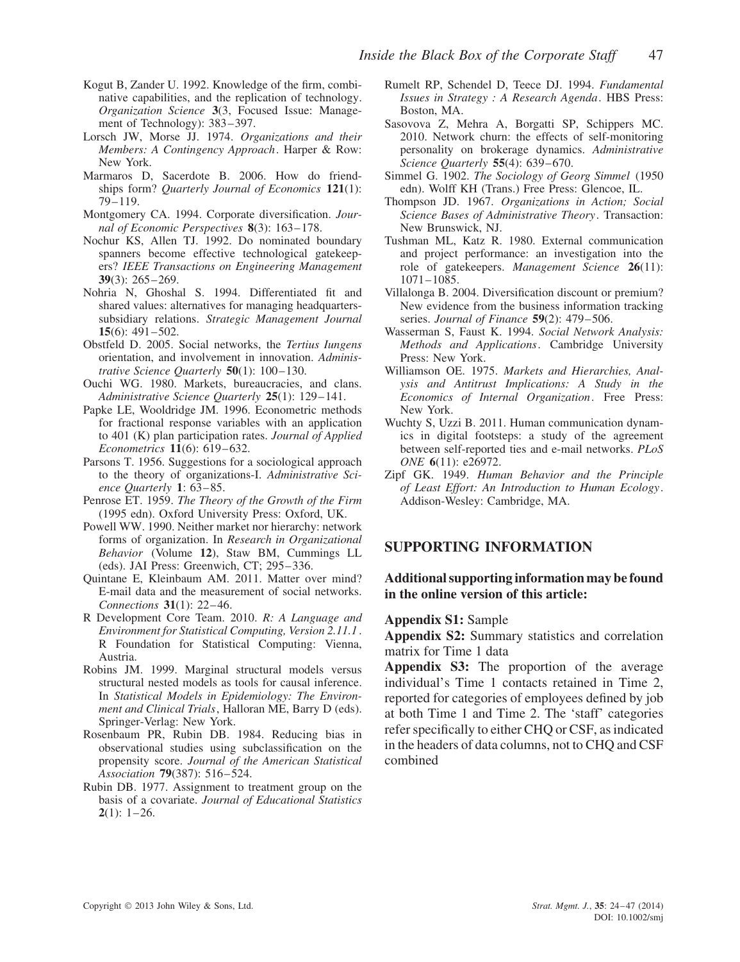- Kogut B, Zander U. 1992. Knowledge of the firm, combinative capabilities, and the replication of technology. *Organization Science* **3**(3, Focused Issue: Management of Technology): 383–397.
- Lorsch JW, Morse JJ. 1974. *Organizations and their Members: A Contingency Approach*. Harper & Row: New York.
- Marmaros D, Sacerdote B. 2006. How do friendships form? *Quarterly Journal of Economics* **121**(1): 79–119.
- Montgomery CA. 1994. Corporate diversification. *Journal of Economic Perspectives* **8**(3): 163–178.
- Nochur KS, Allen TJ. 1992. Do nominated boundary spanners become effective technological gatekeepers? *IEEE Transactions on Engineering Management* **39**(3): 265–269.
- Nohria N, Ghoshal S. 1994. Differentiated fit and shared values: alternatives for managing headquarterssubsidiary relations. *Strategic Management Journal* **15**(6): 491–502.
- Obstfeld D. 2005. Social networks, the *Tertius Iungens* orientation, and involvement in innovation. *Administrative Science Quarterly* **50**(1): 100–130.
- Ouchi WG. 1980. Markets, bureaucracies, and clans. *Administrative Science Quarterly* **25**(1): 129–141.
- Papke LE, Wooldridge JM. 1996. Econometric methods for fractional response variables with an application to 401 (K) plan participation rates. *Journal of Applied Econometrics* **11**(6): 619–632.
- Parsons T. 1956. Suggestions for a sociological approach to the theory of organizations-I. *Administrative Science Quarterly* **1**: 63–85.
- Penrose ET. 1959. *The Theory of the Growth of the Firm* (1995 edn). Oxford University Press: Oxford, UK.
- Powell WW. 1990. Neither market nor hierarchy: network forms of organization. In *Research in Organizational Behavior* (Volume **12**), Staw BM, Cummings LL (eds). JAI Press: Greenwich, CT; 295–336.
- Quintane E, Kleinbaum AM. 2011. Matter over mind? E-mail data and the measurement of social networks. *Connections* **31**(1): 22–46.
- R Development Core Team. 2010. *R: A Language and Environment for Statistical Computing, Version 2.11.1* . R Foundation for Statistical Computing: Vienna, Austria.
- Robins JM. 1999. Marginal structural models versus structural nested models as tools for causal inference. In *Statistical Models in Epidemiology: The Environment and Clinical Trials*, Halloran ME, Barry D (eds). Springer-Verlag: New York.
- Rosenbaum PR, Rubin DB. 1984. Reducing bias in observational studies using subclassification on the propensity score. *Journal of the American Statistical Association* **79**(387): 516–524.
- Rubin DB. 1977. Assignment to treatment group on the basis of a covariate. *Journal of Educational Statistics* **2**(1): 1–26.
- Rumelt RP, Schendel D, Teece DJ. 1994. *Fundamental Issues in Strategy : A Research Agenda*. HBS Press: Boston, MA.
- Sasovova Z, Mehra A, Borgatti SP, Schippers MC. 2010. Network churn: the effects of self-monitoring personality on brokerage dynamics. *Administrative Science Quarterly* **55**(4): 639–670.
- Simmel G. 1902. *The Sociology of Georg Simmel* (1950 edn). Wolff KH (Trans.) Free Press: Glencoe, IL.
- Thompson JD. 1967. *Organizations in Action; Social Science Bases of Administrative Theory*. Transaction: New Brunswick, NJ.
- Tushman ML, Katz R. 1980. External communication and project performance: an investigation into the role of gatekeepers. *Management Science* **26**(11): 1071–1085.
- Villalonga B. 2004. Diversification discount or premium? New evidence from the business information tracking series. *Journal of Finance* **59**(2): 479–506.
- Wasserman S, Faust K. 1994. *Social Network Analysis: Methods and Applications*. Cambridge University Press: New York.
- Williamson OE. 1975. *Markets and Hierarchies, Analysis and Antitrust Implications: A Study in the Economics of Internal Organization*. Free Press: New York.
- Wuchty S, Uzzi B. 2011. Human communication dynamics in digital footsteps: a study of the agreement between self-reported ties and e-mail networks. *PLoS ONE* **6**(11): e26972.
- Zipf GK. 1949. *Human Behavior and the Principle of Least Effort: An Introduction to Human Ecology*. Addison-Wesley: Cambridge, MA.

#### **SUPPORTING INFORMATION**

#### **Additional supporting information may be found in the online version of this article:**

#### **Appendix S1:** Sample

**Appendix S2:** Summary statistics and correlation matrix for Time 1 data

**Appendix S3:** The proportion of the average individual's Time 1 contacts retained in Time 2, reported for categories of employees defined by job at both Time 1 and Time 2. The 'staff' categories refer specifically to either CHQ or CSF, as indicated in the headers of data columns, not to CHQ and CSF combined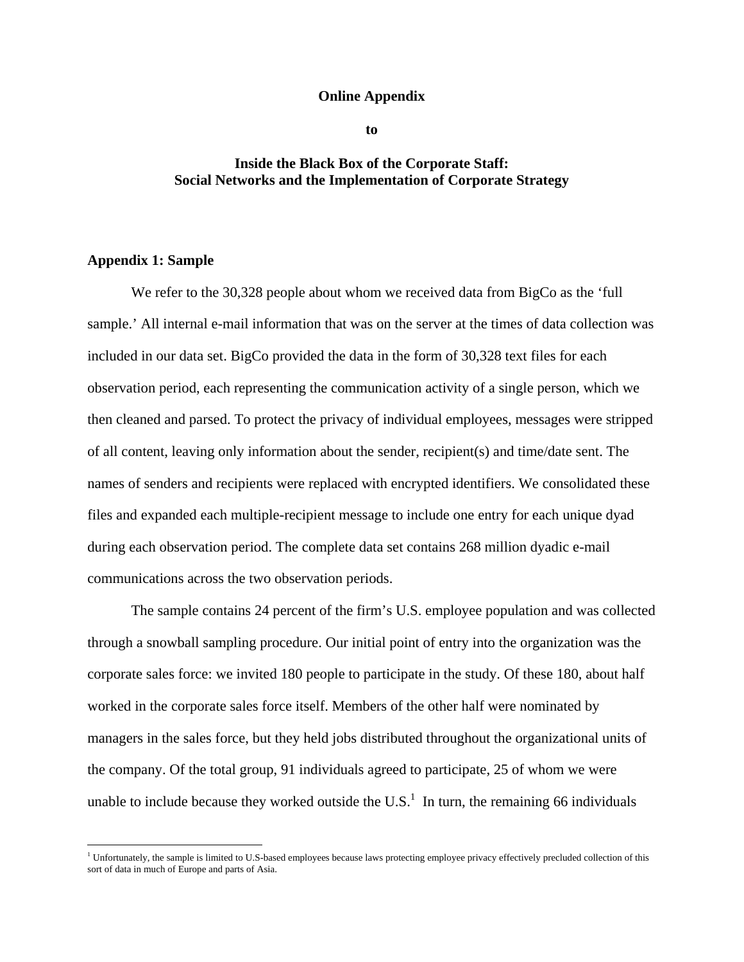#### **Online Appendix**

**to** 

# **Inside the Black Box of the Corporate Staff: Social Networks and the Implementation of Corporate Strategy**

# **Appendix 1: Sample**

We refer to the 30,328 people about whom we received data from BigCo as the 'full sample.' All internal e-mail information that was on the server at the times of data collection was included in our data set. BigCo provided the data in the form of 30,328 text files for each observation period, each representing the communication activity of a single person, which we then cleaned and parsed. To protect the privacy of individual employees, messages were stripped of all content, leaving only information about the sender, recipient(s) and time/date sent. The names of senders and recipients were replaced with encrypted identifiers. We consolidated these files and expanded each multiple-recipient message to include one entry for each unique dyad during each observation period. The complete data set contains 268 million dyadic e-mail communications across the two observation periods.

The sample contains 24 percent of the firm's U.S. employee population and was collected through a snowball sampling procedure. Our initial point of entry into the organization was the corporate sales force: we invited 180 people to participate in the study. Of these 180, about half worked in the corporate sales force itself. Members of the other half were nominated by managers in the sales force, but they held jobs distributed throughout the organizational units of the company. Of the total group, 91 individuals agreed to participate, 25 of whom we were unable to include because they worked outside the U.S.<sup>1</sup> In turn, the remaining 66 individuals

<sup>&</sup>lt;sup>1</sup> Unfortunately, the sample is limited to U.S-based employees because laws protecting employee privacy effectively precluded collection of this sort of data in much of Europe and parts of Asia.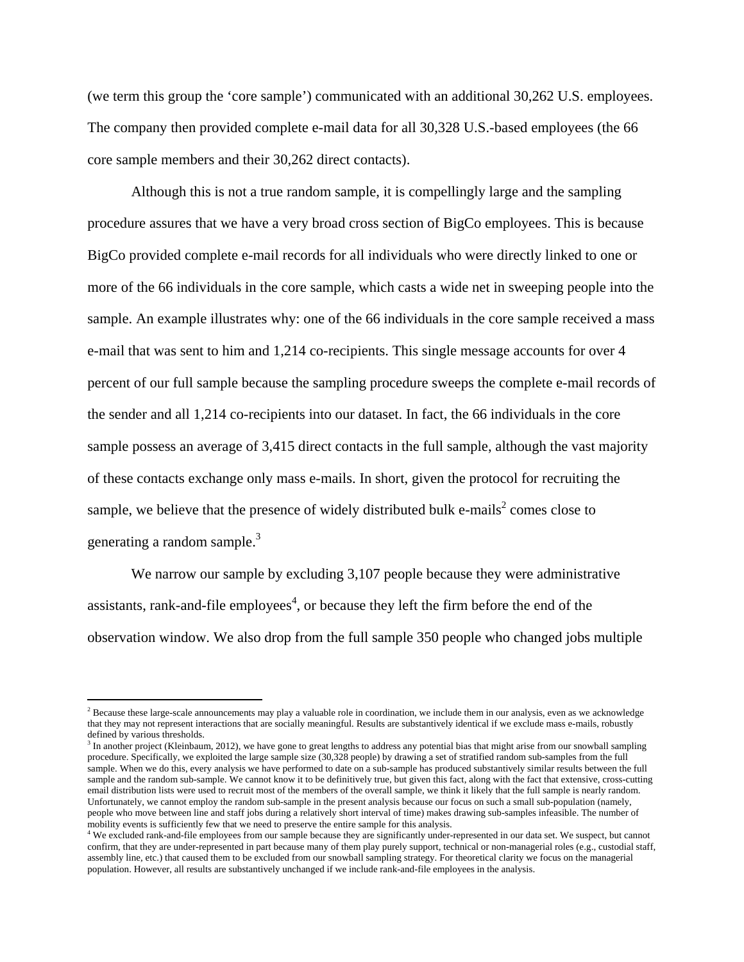(we term this group the 'core sample') communicated with an additional 30,262 U.S. employees. The company then provided complete e-mail data for all 30,328 U.S.-based employees (the 66 core sample members and their 30,262 direct contacts).

Although this is not a true random sample, it is compellingly large and the sampling procedure assures that we have a very broad cross section of BigCo employees. This is because BigCo provided complete e-mail records for all individuals who were directly linked to one or more of the 66 individuals in the core sample, which casts a wide net in sweeping people into the sample. An example illustrates why: one of the 66 individuals in the core sample received a mass e-mail that was sent to him and 1,214 co-recipients. This single message accounts for over 4 percent of our full sample because the sampling procedure sweeps the complete e-mail records of the sender and all 1,214 co-recipients into our dataset. In fact, the 66 individuals in the core sample possess an average of 3,415 direct contacts in the full sample, although the vast majority of these contacts exchange only mass e-mails. In short, given the protocol for recruiting the sample, we believe that the presence of widely distributed bulk e-mails<sup>2</sup> comes close to generating a random sample.<sup>3</sup>

We narrow our sample by excluding 3,107 people because they were administrative assistants, rank-and-file employees<sup>4</sup>, or because they left the firm before the end of the observation window. We also drop from the full sample 350 people who changed jobs multiple

 $<sup>2</sup>$  Because these large-scale announcements may play a valuable role in coordination, we include them in our analysis, even as we acknowledge</sup> that they may not represent interactions that are socially meaningful. Results are substantively identical if we exclude mass e-mails, robustly defined by various thresholds.

<sup>&</sup>lt;sup>3</sup> In another project (Kleinbaum, 2012), we have gone to great lengths to address any potential bias that might arise from our snowball sampling procedure. Specifically, we exploited the large sample size (30,328 people) by drawing a set of stratified random sub-samples from the full sample. When we do this, every analysis we have performed to date on a sub-sample has produced substantively similar results between the full sample and the random sub-sample. We cannot know it to be definitively true, but given this fact, along with the fact that extensive, cross-cutting email distribution lists were used to recruit most of the members of the overall sample, we think it likely that the full sample is nearly random. Unfortunately, we cannot employ the random sub-sample in the present analysis because our focus on such a small sub-population (namely, people who move between line and staff jobs during a relatively short interval of time) makes drawing sub-samples infeasible. The number of mobility events is sufficiently few that we need to preserve the entire sample for this analysis. 4

<sup>&</sup>lt;sup>4</sup> We excluded rank-and-file employees from our sample because they are significantly under-represented in our data set. We suspect, but cannot confirm, that they are under-represented in part because many of them play purely support, technical or non-managerial roles (e.g., custodial staff, assembly line, etc.) that caused them to be excluded from our snowball sampling strategy. For theoretical clarity we focus on the managerial population. However, all results are substantively unchanged if we include rank-and-file employees in the analysis.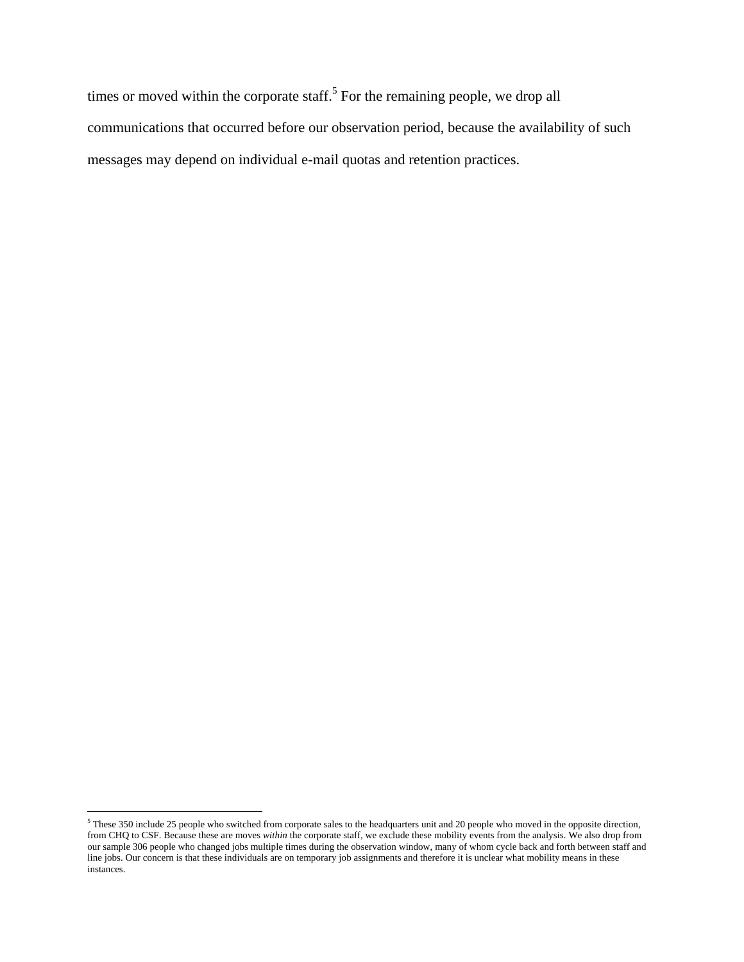times or moved within the corporate staff.<sup>5</sup> For the remaining people, we drop all communications that occurred before our observation period, because the availability of such messages may depend on individual e-mail quotas and retention practices.

These 350 include 25 people who switched from corporate sales to the headquarters unit and 20 people who moved in the opposite direction, from CHQ to CSF. Because these are moves *within* the corporate staff, we exclude these mobility events from the analysis. We also drop from our sample 306 people who changed jobs multiple times during the observation window, many of whom cycle back and forth between staff and line jobs. Our concern is that these individuals are on temporary job assignments and therefore it is unclear what mobility means in these instances.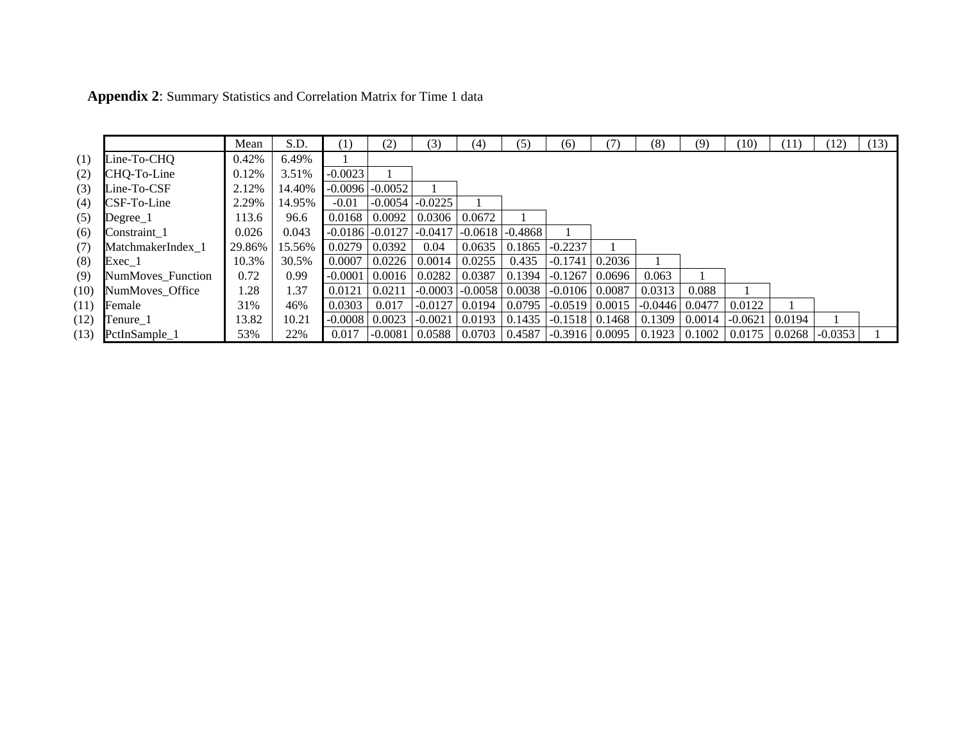|      |                          | Mean   | S.D.   | (1)              | (2)       | (3)                         | (4)       | (5)       | (6)              | 71     | (8)                         | (9)    | (10)                                       | (11) | (12) | (13) |
|------|--------------------------|--------|--------|------------------|-----------|-----------------------------|-----------|-----------|------------------|--------|-----------------------------|--------|--------------------------------------------|------|------|------|
| (1)  | Line-To-CHQ              | 0.42%  | 6.49%  |                  |           |                             |           |           |                  |        |                             |        |                                            |      |      |      |
| (2)  | CHQ-To-Line              | 0.12%  | 3.51%  | $-0.0023$        |           |                             |           |           |                  |        |                             |        |                                            |      |      |      |
| (3)  | Line-To-CSF              | 2.12%  | 14.40% | $-0.0096$        | $-0.0052$ |                             |           |           |                  |        |                             |        |                                            |      |      |      |
| (4)  | CSF-To-Line              | 2.29%  | 14.95% | $-0.01$          | $-0.0054$ | $-0.0225$                   |           |           |                  |        |                             |        |                                            |      |      |      |
| (5)  | Degree 1                 | 113.6  | 96.6   | 0.0168           | 0.0092    | 0.0306                      | 0.0672    |           |                  |        |                             |        |                                            |      |      |      |
| (6)  | Constraint 1             | 0.026  | 0.043  | $-0.0186$        | $-0.0127$ | $-0.0417$                   | $-0.0618$ | $-0.4868$ |                  |        |                             |        |                                            |      |      |      |
| (7)  | MatchmakerIndex 1        | 29.86% | 15.56% | 0.0279           | 0.0392    | 0.04                        | 0.0635    | 0.1865    | $-0.2237$        |        |                             |        |                                            |      |      |      |
| (8)  | $Exec_1$                 | 10.3%  | 30.5%  | 0.0007           | 0.0226    | 0.0014                      | 0.0255    | 0.435     | $-0.1741$        | 0.2036 |                             |        |                                            |      |      |      |
| (9)  | <b>NumMoves</b> Function | 0.72   | 0.99   | $-0.0001$        | 0.0016    | 0.0282                      | 0.0387    | 0.1394    | $-0.1267$        | 0.0696 | 0.063                       |        |                                            |      |      |      |
| (10) | NumMoves Office          | 1.28   | 1.37   | 0.0121           | 0.0211    | $-0.0003$                   | $-0.0058$ | 0.0038    | $-0.0106$        | 0.0087 | 0.0313                      | 0.088  |                                            |      |      |      |
| (11) | Female                   | 31%    | 46%    | 0.0303           | 0.017     | $-0.0127$                   | 0.0194    | 0.0795    | $-0.0519$        | 0.0015 | $-0.0446$                   | 0.0477 | 0.0122                                     |      |      |      |
| (12) | Tenure_1                 | 13.82  | 10.21  | $-0.0008$ 0.0023 |           | $-0.0021$ 0.0193            |           | 0.1435    | $-0.1518$ 0.1468 |        | 0.1309                      | 0.0014 | $-0.0621$   0.0194                         |      |      |      |
| (13) | PctInSample_1            | 53%    | 22%    | 0.017            |           | $-0.0081$   0.0588   0.0703 |           | 0.4587    |                  |        | $-0.3916$   0.0095   0.1923 |        | $0.1002$   $0.0175$   $0.0268$   $-0.0353$ |      |      |      |

**Appendix 2**: Summary Statistics and Correlation Matrix for Time 1 data